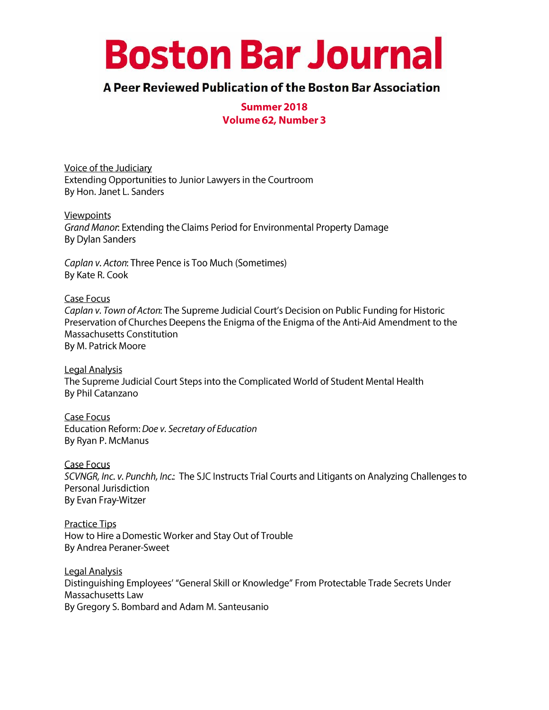# **Boston Bar Journal**

# A Peer Reviewed Publication of the Boston Bar Association

Summer 2018 **Volume 62, Number 3** 

Voice of the Judiciary Extending Opportunities to Junior Lawyers in the Courtroom By Hon. Janet L. Sanders

Viewpoints Grand Manor: Extending the Claims Period for Environmental Property Damage **By Dylan Sanders** 

Caplan v. Acton: Three Pence is Too Much (Sometimes) By Kate R. Cook

**Case Focus** Caplan v. Town of Acton: The Supreme Judicial Court's Decision on Public Funding for Historic Preservation of Churches Deepens the Enigma of the Enigma of the Anti-Aid Amendment to the Massachusetts Constitution By M. Patrick Moore

**Legal Analysis** The Supreme Judicial Court Steps into the Complicated World of Student Mental Health By Phil Catanzano

Case Focus Education Reform: Doe v. Secretary of Education By Ryan P. McManus

Case Focus SCVNGR, Inc. v. Punchh, Inc.: The SJC Instructs Trial Courts and Litigants on Analyzing Challenges to Personal Jurisdiction By Evan Fray-Witzer

**Practice Tips** How to Hire a Domestic Worker and Stay Out of Trouble By Andrea Peraner-Sweet

**Legal Analysis** Distinguishing Employees' "General Skill or Knowledge" From Protectable Trade Secrets Under Massachusetts Law By Gregory S. Bombard and Adam M. Santeusanio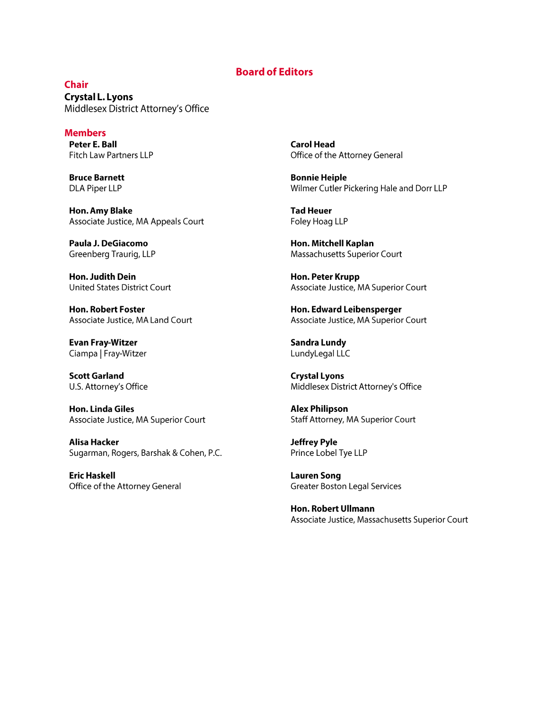#### **Board of Editors**

**Chair Crystal L. Lyons** Middlesex District Attorney's Office

**Members** Peter E. Ball Fitch Law Partners LLP

**Bruce Barnett DLA Piper LLP** 

Hon. Amy Blake Associate Justice, MA Appeals Court

Paula J. DeGiacomo Greenberg Traurig, LLP

Hon. Judith Dein **United States District Court** 

**Hon. Robert Foster** Associate Justice, MA Land Court

**Evan Fray-Witzer** Ciampa | Fray-Witzer

**Scott Garland** U.S. Attorney's Office

**Hon. Linda Giles** Associate Justice, MA Superior Court

**Alisa Hacker** Sugarman, Rogers, Barshak & Cohen, P.C.

**Eric Haskell** Office of the Attorney General **Carol Head** Office of the Attorney General

**Bonnie Heiple** Wilmer Cutler Pickering Hale and Dorr LLP

**Tad Heuer** Foley Hoag LLP

Hon. Mitchell Kaplan Massachusetts Superior Court

Hon. Peter Krupp Associate Justice, MA Superior Court

Hon. Edward Leibensperger Associate Justice, MA Superior Court

**Sandra Lundy** LundyLegal LLC

**Crystal Lyons** Middlesex District Attorney's Office

**Alex Philipson** Staff Attorney, MA Superior Court

**Jeffrey Pyle** Prince Lobel Tye LLP

**Lauren Song Greater Boston Legal Services** 

Hon. Robert Ullmann Associate Justice, Massachusetts Superior Court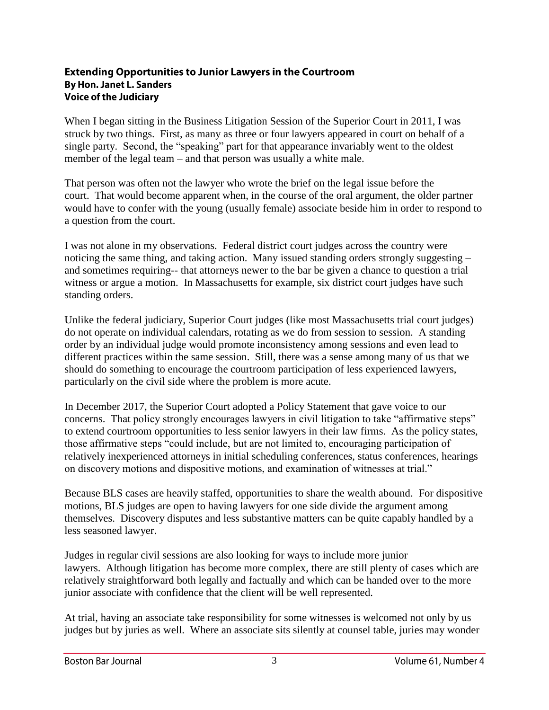#### **Extending Opportunities to Junior Lawyers in the Courtroom By Hon. Janet L. Sanders Voice of the Judiciary**

When I began sitting in the Business Litigation Session of the Superior Court in 2011, I was struck by two things. First, as many as three or four lawyers appeared in court on behalf of a single party. Second, the "speaking" part for that appearance invariably went to the oldest member of the legal team – and that person was usually a white male.

That person was often not the lawyer who wrote the brief on the legal issue before the court. That would become apparent when, in the course of the oral argument, the older partner would have to confer with the young (usually female) associate beside him in order to respond to a question from the court.

I was not alone in my observations. Federal district court judges across the country were noticing the same thing, and taking action. Many issued standing orders strongly suggesting – and sometimes requiring-- that attorneys newer to the bar be given a chance to question a trial witness or argue a motion. In Massachusetts for example, six district court judges have such standing orders.

Unlike the federal judiciary, Superior Court judges (like most Massachusetts trial court judges) do not operate on individual calendars, rotating as we do from session to session. A standing order by an individual judge would promote inconsistency among sessions and even lead to different practices within the same session. Still, there was a sense among many of us that we should do something to encourage the courtroom participation of less experienced lawyers, particularly on the civil side where the problem is more acute.

In December 2017, the Superior Court adopted a Policy Statement that gave voice to our concerns. That policy strongly encourages lawyers in civil litigation to take "affirmative steps" to extend courtroom opportunities to less senior lawyers in their law firms. As the policy states, those affirmative steps "could include, but are not limited to, encouraging participation of relatively inexperienced attorneys in initial scheduling conferences, status conferences, hearings on discovery motions and dispositive motions, and examination of witnesses at trial."

Because BLS cases are heavily staffed, opportunities to share the wealth abound. For dispositive motions, BLS judges are open to having lawyers for one side divide the argument among themselves. Discovery disputes and less substantive matters can be quite capably handled by a less seasoned lawyer.

Judges in regular civil sessions are also looking for ways to include more junior lawyers. Although litigation has become more complex, there are still plenty of cases which are relatively straightforward both legally and factually and which can be handed over to the more junior associate with confidence that the client will be well represented.

At trial, having an associate take responsibility for some witnesses is welcomed not only by us judges but by juries as well. Where an associate sits silently at counsel table, juries may wonder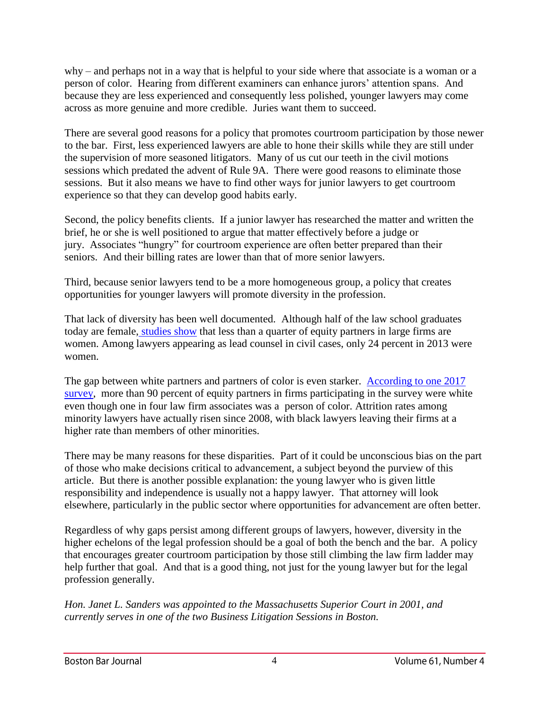why – and perhaps not in a way that is helpful to your side where that associate is a woman or a person of color. Hearing from different examiners can enhance jurors' attention spans. And because they are less experienced and consequently less polished, younger lawyers may come across as more genuine and more credible. Juries want them to succeed.

There are several good reasons for a policy that promotes courtroom participation by those newer to the bar. First, less experienced lawyers are able to hone their skills while they are still under the supervision of more seasoned litigators. Many of us cut our teeth in the civil motions sessions which predated the advent of Rule 9A. There were good reasons to eliminate those sessions. But it also means we have to find other ways for junior lawyers to get courtroom experience so that they can develop good habits early.

Second, the policy benefits clients. If a junior lawyer has researched the matter and written the brief, he or she is well positioned to argue that matter effectively before a judge or jury. Associates "hungry" for courtroom experience are often better prepared than their seniors. And their billing rates are lower than that of more senior lawyers.

Third, because senior lawyers tend to be a more homogeneous group, a policy that creates opportunities for younger lawyers will promote diversity in the profession.

That lack of diversity has been well documented. Although half of the law school graduates today are female, [studies show](https://www.americanbar.org/content/dam/aba/marketing/women/first_chairs2015.authcheckdam.pdf) that less than a quarter of equity partners in large firms are women. Among lawyers appearing as lead counsel in civil cases, only 24 percent in 2013 were women.

The gap between white partners and partners of color is even starker. [According to one 2017](https://www.mcca.com/resources/surveys/2018-vault-mcca-law-firm-diversity-survey/)  [survey,](https://www.mcca.com/resources/surveys/2018-vault-mcca-law-firm-diversity-survey/) more than 90 percent of equity partners in firms participating in the survey were white even though one in four law firm associates was a person of color. Attrition rates among minority lawyers have actually risen since 2008, with black lawyers leaving their firms at a higher rate than members of other minorities.

There may be many reasons for these disparities. Part of it could be unconscious bias on the part of those who make decisions critical to advancement, a subject beyond the purview of this article. But there is another possible explanation: the young lawyer who is given little responsibility and independence is usually not a happy lawyer. That attorney will look elsewhere, particularly in the public sector where opportunities for advancement are often better.

Regardless of why gaps persist among different groups of lawyers, however, diversity in the higher echelons of the legal profession should be a goal of both the bench and the bar. A policy that encourages greater courtroom participation by those still climbing the law firm ladder may help further that goal. And that is a good thing, not just for the young lawyer but for the legal profession generally.

*Hon. Janet L. Sanders was appointed to the Massachusetts Superior Court in 2001, and currently serves in one of the two Business Litigation Sessions in Boston.*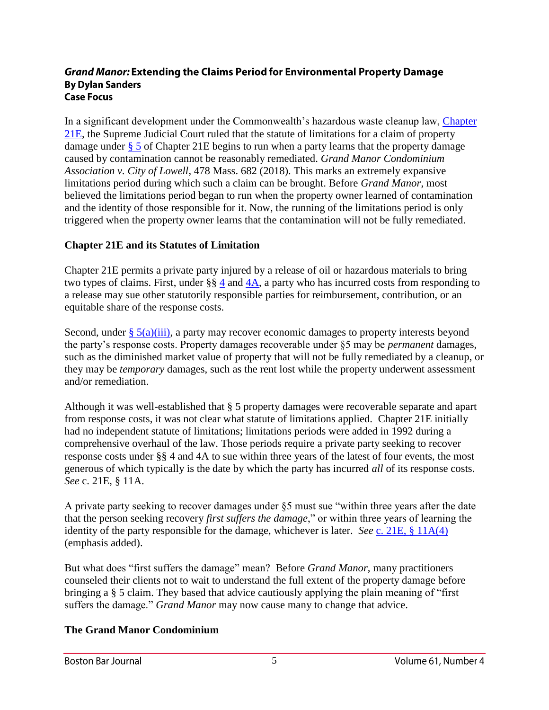#### **Grand Manor: Extending the Claims Period for Environmental Property Damage By Dylan Sanders Case Focus**

In a significant development under the Commonwealth's hazardous waste cleanup law, Chapter [21E,](https://malegislature.gov/Laws/GeneralLaws/PartI/TitleII/Chapter21E) the Supreme Judicial Court ruled that the statute of limitations for a claim of property damage under [§](https://malegislature.gov/Laws/GeneralLaws/PartI/TitleII/Chapter21E/Section5) 5 of Chapter 21E begins to run when a party learns that the property damage caused by contamination cannot be reasonably remediated. *Grand Manor Condominium Association v. City of Lowell*, 478 Mass. 682 (2018). This marks an extremely expansive limitations period during which such a claim can be brought. Before *Grand Manor*, most believed the limitations period began to run when the property owner learned of contamination and the identity of those responsible for it. Now, the running of the limitations period is only triggered when the property owner learns that the contamination will not be fully remediated.

# **Chapter 21E and its Statutes of Limitation**

Chapter 21E permits a private party injured by a release of oil or hazardous materials to bring two types of claims. First, under §§ [4](https://malegislature.gov/Laws/GeneralLaws/PartI/TitleII/Chapter21E/Section4) and [4A,](https://malegislature.gov/Laws/GeneralLaws/PartI/TitleII/Chapter21E/Section4A) a party who has incurred costs from responding to a release may sue other statutorily responsible parties for reimbursement, contribution, or an equitable share of the response costs.

Second, under  $\S$  5(a)(iii), a party may recover economic damages to property interests beyond the party's response costs. Property damages recoverable under §5 may be *permanent* damages, such as the diminished market value of property that will not be fully remediated by a cleanup, or they may be *temporary* damages, such as the rent lost while the property underwent assessment and/or remediation.

Although it was well-established that § 5 property damages were recoverable separate and apart from response costs, it was not clear what statute of limitations applied. Chapter 21E initially had no independent statute of limitations; limitations periods were added in 1992 during a comprehensive overhaul of the law. Those periods require a private party seeking to recover response costs under §§ 4 and 4A to sue within three years of the latest of four events, the most generous of which typically is the date by which the party has incurred *all* of its response costs. *See* c. 21E, § 11A.

A private party seeking to recover damages under §5 must sue "within three years after the date that the person seeking recovery *first suffers the damage*," or within three years of learning the identity of the party responsible for the damage, whichever is later. *See* [c. 21E, §](https://malegislature.gov/Laws/GeneralLaws/PartI/TitleII/Chapter21E/Section11A) 11A(4) (emphasis added).

But what does "first suffers the damage" mean? Before *Grand Manor*, many practitioners counseled their clients not to wait to understand the full extent of the property damage before bringing a § 5 claim. They based that advice cautiously applying the plain meaning of "first suffers the damage." *Grand Manor* may now cause many to change that advice.

# **The Grand Manor Condominium**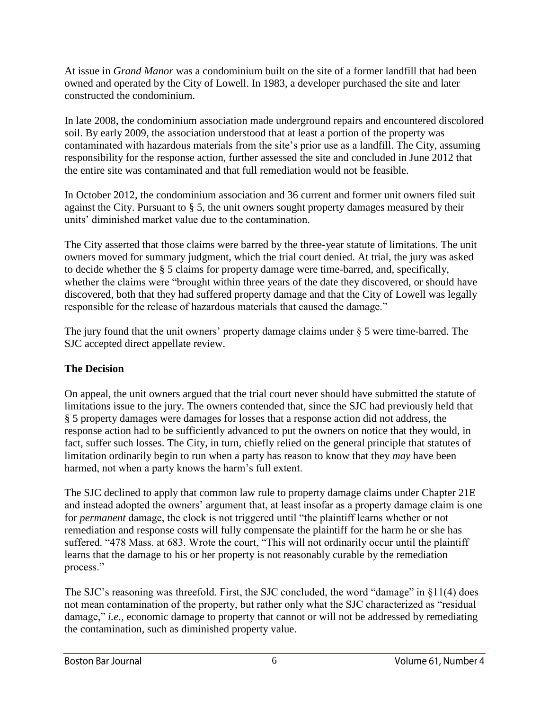At issue in *Grand Manor* was a condominium built on the site of a former landfill that had been owned and operated by the City of Lowell. In 1983, a developer purchased the site and later constructed the condominium.

In late 2008, the condominium association made underground repairs and encountered discolored soil. By early 2009, the association understood that at least a portion of the property was contaminated with hazardous materials from the site's prior use as a landfill. The City, assuming responsibility for the response action, further assessed the site and concluded in June 2012 that the entire site was contaminated and that full remediation would not be feasible.

In October 2012, the condominium association and 36 current and former unit owners filed suit against the City. Pursuant to § 5, the unit owners sought property damages measured by their units' diminished market value due to the contamination.

The City asserted that those claims were barred by the three-year statute of limitations. The unit owners moved for summary judgment, which the trial court denied. At trial, the jury was asked to decide whether the § 5 claims for property damage were time-barred, and, specifically, whether the claims were "brought within three years of the date they discovered, or should have discovered, both that they had suffered property damage and that the City of Lowell was legally responsible for the release of hazardous materials that caused the damage."

The jury found that the unit owners' property damage claims under § 5 were time-barred. The SJC accepted direct appellate review.

# **The Decision**

On appeal, the unit owners argued that the trial court never should have submitted the statute of limitations issue to the jury. The owners contended that, since the SJC had previously held that § 5 property damages were damages for losses that a response action did not address, the response action had to be sufficiently advanced to put the owners on notice that they would, in fact, suffer such losses. The City, in turn, chiefly relied on the general principle that statutes of limitation ordinarily begin to run when a party has reason to know that they *may* have been harmed, not when a party knows the harm's full extent.

The SJC declined to apply that common law rule to property damage claims under Chapter 21E and instead adopted the owners' argument that, at least insofar as a property damage claim is one for *permanent* damage, the clock is not triggered until "the plaintiff learns whether or not remediation and response costs will fully compensate the plaintiff for the harm he or she has suffered. "478 Mass. at 683. Wrote the court, "This will not ordinarily occur until the plaintiff learns that the damage to his or her property is not reasonably curable by the remediation process."

The SJC's reasoning was threefold. First, the SJC concluded, the word "damage" in §11(4) does not mean contamination of the property, but rather only what the SJC characterized as "residual damage," *i.e.,* economic damage to property that cannot or will not be addressed by remediating the contamination, such as diminished property value.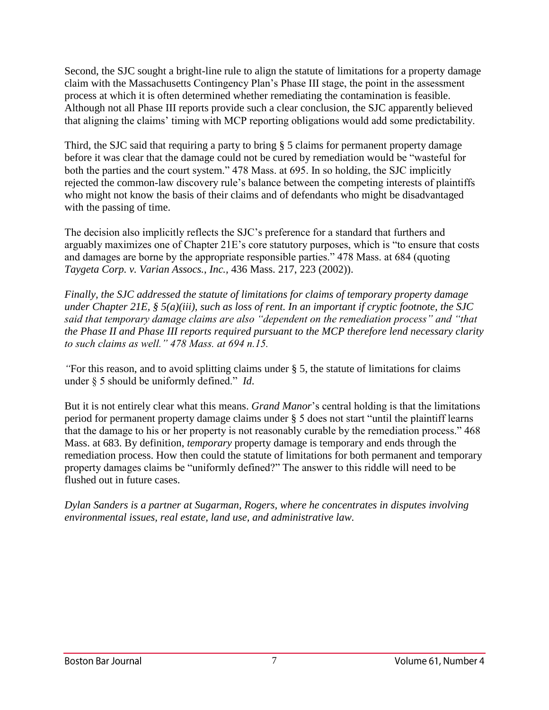Second, the SJC sought a bright-line rule to align the statute of limitations for a property damage claim with the Massachusetts Contingency Plan's Phase III stage, the point in the assessment process at which it is often determined whether remediating the contamination is feasible. Although not all Phase III reports provide such a clear conclusion, the SJC apparently believed that aligning the claims' timing with MCP reporting obligations would add some predictability.

Third, the SJC said that requiring a party to bring § 5 claims for permanent property damage before it was clear that the damage could not be cured by remediation would be "wasteful for both the parties and the court system." 478 Mass. at 695. In so holding, the SJC implicitly rejected the common-law discovery rule's balance between the competing interests of plaintiffs who might not know the basis of their claims and of defendants who might be disadvantaged with the passing of time.

The decision also implicitly reflects the SJC's preference for a standard that furthers and arguably maximizes one of Chapter 21E's core statutory purposes, which is "to ensure that costs and damages are borne by the appropriate responsible parties." 478 Mass. at 684 (quoting *Taygeta Corp. v. Varian Assocs.*, *Inc.,* 436 Mass. 217, 223 (2002)).

*Finally, the SJC addressed the statute of limitations for claims of temporary property damage under Chapter 21E, § 5(a)(iii), such as loss of rent. In an important if cryptic footnote, the SJC said that temporary damage claims are also "dependent on the remediation process" and "that the Phase II and Phase III reports required pursuant to the MCP therefore lend necessary clarity to such claims as well." 478 Mass. at 694 n.15.* 

*"*For this reason, and to avoid splitting claims under § 5, the statute of limitations for claims under § 5 should be uniformly defined." *Id*.

But it is not entirely clear what this means. *Grand Manor*'s central holding is that the limitations period for permanent property damage claims under § 5 does not start "until the plaintiff learns that the damage to his or her property is not reasonably curable by the remediation process." 468 Mass. at 683. By definition, *temporary* property damage is temporary and ends through the remediation process. How then could the statute of limitations for both permanent and temporary property damages claims be "uniformly defined?" The answer to this riddle will need to be flushed out in future cases.

*Dylan Sanders is a partner at Sugarman, Rogers, where he concentrates in disputes involving environmental issues, real estate, land use, and administrative law.*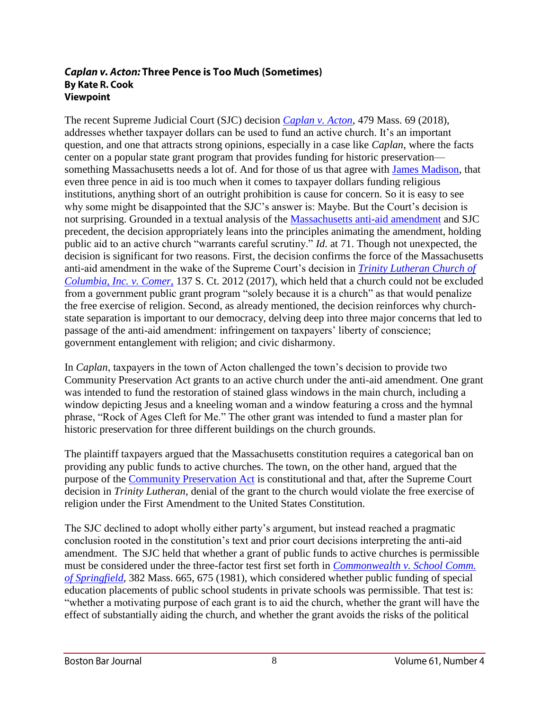#### **Caplan v. Acton: Three Pence is Too Much (Sometimes) By Kate R. Cook Viewpoint**

The recent Supreme Judicial Court (SJC) decision *[Caplan v. Acton](https://scholar.google.com/scholar_case?case=7037002281856728151&hl=en&as_sdt=6&as_vis=1&oi=scholarr)*, 479 Mass. 69 (2018), addresses whether taxpayer dollars can be used to fund an active church. It's an important question, and one that attracts strong opinions, especially in a case like *Caplan*, where the facts center on a popular state grant program that provides funding for historic preservation something Massachusetts needs a lot of. And for those of us that agree with [James Madison,](http://press-pubs.uchicago.edu/founders/documents/amendI_religions43.html) that even three pence in aid is too much when it comes to taxpayer dollars funding religious institutions, anything short of an outright prohibition is cause for concern. So it is easy to see why some might be disappointed that the SJC's answer is: Maybe. But the Court's decision is not surprising. Grounded in a textual analysis of the [Massachusetts anti-aid amendment](https://malegislature.gov/Laws/Constitution) and SJC precedent, the decision appropriately leans into the principles animating the amendment, holding public aid to an active church "warrants careful scrutiny." *Id*. at 71. Though not unexpected, the decision is significant for two reasons. First, the decision confirms the force of the Massachusetts anti-aid amendment in the wake of the Supreme Court's decision in *[Trinity Lutheran Church of](https://www.supremecourt.gov/opinions/16pdf/15-577_khlp.pdf)  [Columbia, Inc. v. Comer](https://www.supremecourt.gov/opinions/16pdf/15-577_khlp.pdf)*, 137 S. Ct. 2012 (2017), which held that a church could not be excluded from a government public grant program "solely because it is a church" as that would penalize the free exercise of religion. Second, as already mentioned, the decision reinforces why churchstate separation is important to our democracy, delving deep into three major concerns that led to passage of the anti-aid amendment: infringement on taxpayers' liberty of conscience; government entanglement with religion; and civic disharmony.

In *Caplan*, taxpayers in the town of Acton challenged the town's decision to provide two Community Preservation Act grants to an active church under the anti-aid amendment. One grant was intended to fund the restoration of stained glass windows in the main church, including a window depicting Jesus and a kneeling woman and a window featuring a cross and the hymnal phrase, "Rock of Ages Cleft for Me." The other grant was intended to fund a master plan for historic preservation for three different buildings on the church grounds.

The plaintiff taxpayers argued that the Massachusetts constitution requires a categorical ban on providing any public funds to active churches. The town, on the other hand, argued that the purpose of the [Community Preservation Act](https://malegislature.gov/Laws/GeneralLaws/PartI/TitleVII/Chapter44B) is constitutional and that, after the Supreme Court decision in *Trinity Lutheran*, denial of the grant to the church would violate the free exercise of religion under the First Amendment to the United States Constitution.

The SJC declined to adopt wholly either party's argument, but instead reached a pragmatic conclusion rooted in the constitution's text and prior court decisions interpreting the anti-aid amendment. The SJC held that whether a grant of public funds to active churches is permissible must be considered under the three-factor test first set forth in *[Commonwealth v. School Comm.](http://masscases.com/cases/sjc/382/382mass665.html)  [of Springfield](http://masscases.com/cases/sjc/382/382mass665.html)*, 382 Mass. 665, 675 (1981), which considered whether public funding of special education placements of public school students in private schools was permissible. That test is: "whether a motivating purpose of each grant is to aid the church, whether the grant will have the effect of substantially aiding the church, and whether the grant avoids the risks of the political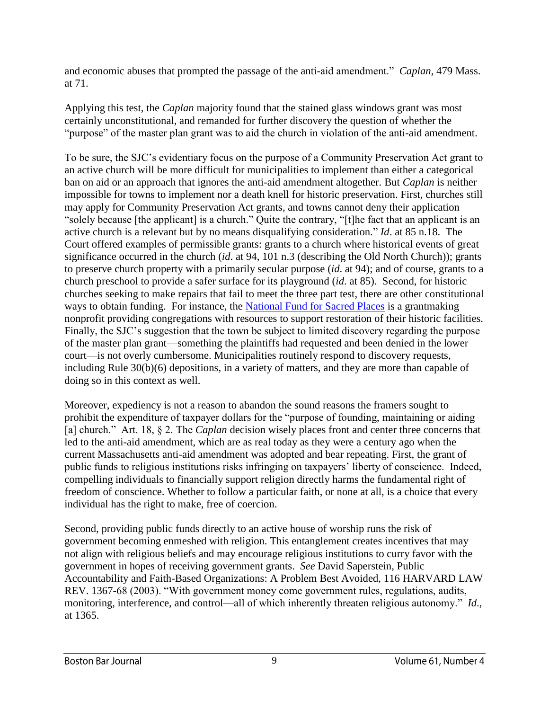and economic abuses that prompted the passage of the anti-aid amendment." *Caplan*, 479 Mass. at 71.

Applying this test, the *Caplan* majority found that the stained glass windows grant was most certainly unconstitutional, and remanded for further discovery the question of whether the "purpose" of the master plan grant was to aid the church in violation of the anti-aid amendment.

To be sure, the SJC's evidentiary focus on the purpose of a Community Preservation Act grant to an active church will be more difficult for municipalities to implement than either a categorical ban on aid or an approach that ignores the anti-aid amendment altogether. But *Caplan* is neither impossible for towns to implement nor a death knell for historic preservation. First, churches still may apply for Community Preservation Act grants, and towns cannot deny their application "solely because [the applicant] is a church." Quite the contrary, "[t]he fact that an applicant is an active church is a relevant but by no means disqualifying consideration." *Id*. at 85 n.18. The Court offered examples of permissible grants: grants to a church where historical events of great significance occurred in the church (*id*. at 94, 101 n.3 (describing the Old North Church)); grants to preserve church property with a primarily secular purpose (*id*. at 94); and of course, grants to a church preschool to provide a safer surface for its playground (*id*. at 85). Second, for historic churches seeking to make repairs that fail to meet the three part test, there are other constitutional ways to obtain funding. For instance, the [National Fund for Sacred Places](http://fundforsacredplaces.org/) is a grantmaking nonprofit providing congregations with resources to support restoration of their historic facilities. Finally, the SJC's suggestion that the town be subject to limited discovery regarding the purpose of the master plan grant—something the plaintiffs had requested and been denied in the lower court—is not overly cumbersome. Municipalities routinely respond to discovery requests, including Rule 30(b)(6) depositions, in a variety of matters, and they are more than capable of doing so in this context as well.

Moreover, expediency is not a reason to abandon the sound reasons the framers sought to prohibit the expenditure of taxpayer dollars for the "purpose of founding, maintaining or aiding [a] church." Art. 18, § 2. The *Caplan* decision wisely places front and center three concerns that led to the anti-aid amendment, which are as real today as they were a century ago when the current Massachusetts anti-aid amendment was adopted and bear repeating. First, the grant of public funds to religious institutions risks infringing on taxpayers' liberty of conscience. Indeed, compelling individuals to financially support religion directly harms the fundamental right of freedom of conscience. Whether to follow a particular faith, or none at all, is a choice that every individual has the right to make, free of coercion.

Second, providing public funds directly to an active house of worship runs the risk of government becoming enmeshed with religion. This entanglement creates incentives that may not align with religious beliefs and may encourage religious institutions to curry favor with the government in hopes of receiving government grants. *See* David Saperstein, Public Accountability and Faith-Based Organizations: A Problem Best Avoided, 116 HARVARD LAW REV. 1367-68 (2003). "With government money come government rules, regulations, audits, monitoring, interference, and control—all of which inherently threaten religious autonomy." *Id*., at 1365.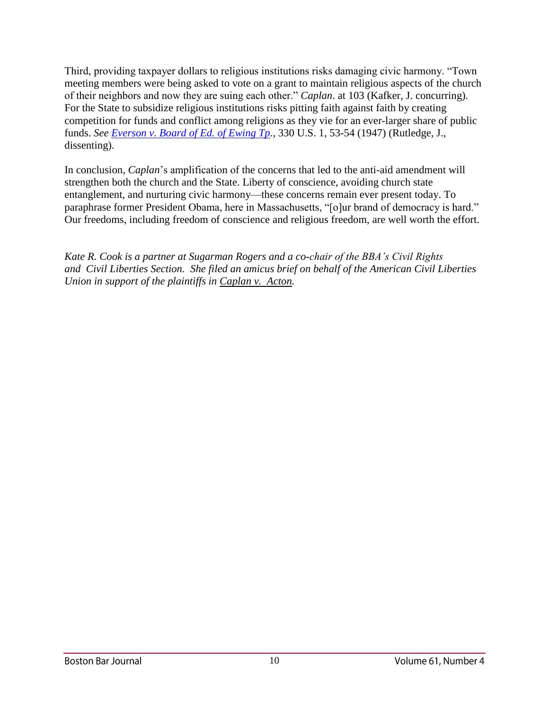Third, providing taxpayer dollars to religious institutions risks damaging civic harmony. "Town meeting members were being asked to vote on a grant to maintain religious aspects of the church of their neighbors and now they are suing each other." *Caplan*. at 103 (Kafker, J. concurring). For the State to subsidize religious institutions risks pitting faith against faith by creating competition for funds and conflict among religions as they vie for an ever-larger share of public funds. *See [Everson v. Board of Ed. of Ewing Tp.](https://supreme.justia.com/cases/federal/us/330/1/)*, 330 U.S. 1, 53-54 (1947) (Rutledge, J., dissenting).

In conclusion, *Caplan*'s amplification of the concerns that led to the anti-aid amendment will strengthen both the church and the State. Liberty of conscience, avoiding church state entanglement, and nurturing civic harmony—these concerns remain ever present today. To paraphrase former President Obama, here in Massachusetts, "[o]ur brand of democracy is hard." Our freedoms, including freedom of conscience and religious freedom, are well worth the effort.

*Kate R. Cook is a partner at Sugarman Rogers and a co-chair of the BBA's Civil Rights and Civil Liberties Section. She filed an amicus brief on behalf of the American Civil Liberties Union in support of the plaintiffs in Caplan v. Acton.*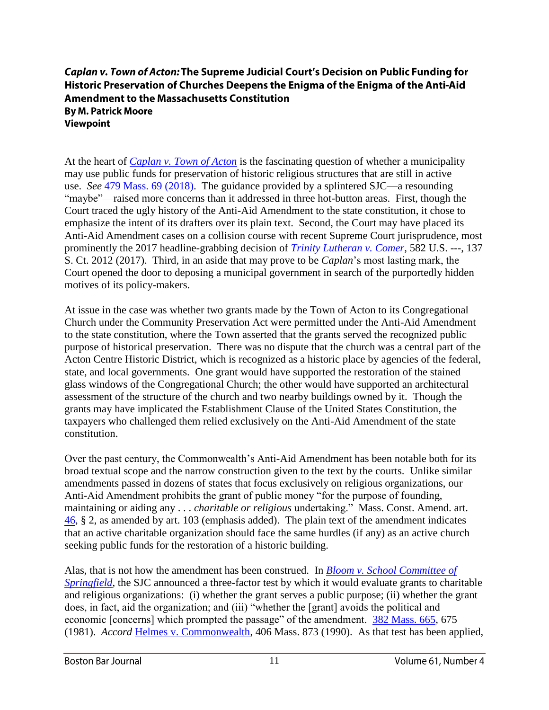## Caplan v. Town of Acton: The Supreme Judicial Court's Decision on Public Funding for Historic Preservation of Churches Deepens the Enigma of the Enigma of the Anti-Aid **Amendment to the Massachusetts Constitution By M. Patrick Moore** Viewpoint

At the heart of *[Caplan v. Town of Acton](https://scholar.google.com/scholar_case?case=7037002281856728151&hl=en&as_sdt=6&as_vis=1&oi=scholarr)* is the fascinating question of whether a municipality may use public funds for preservation of historic religious structures that are still in active use. *See* [479 Mass. 69 \(2018\).](https://scholar.google.com/scholar_case?case=7037002281856728151&hl=en&as_sdt=6&as_vis=1&oi=scholarr) The guidance provided by a splintered SJC—a resounding "maybe"—raised more concerns than it addressed in three hot-button areas. First, though the Court traced the ugly history of the Anti-Aid Amendment to the state constitution, it chose to emphasize the intent of its drafters over its plain text. Second, the Court may have placed its Anti-Aid Amendment cases on a collision course with recent Supreme Court jurisprudence, most prominently the 2017 headline-grabbing decision of *[Trinity Lutheran v. Comer](https://www.supremecourt.gov/opinions/16pdf/15-577_khlp.pdf)*, 582 U.S. ---, 137 S. Ct. 2012 (2017). Third, in an aside that may prove to be *Caplan*'s most lasting mark, the Court opened the door to deposing a municipal government in search of the purportedly hidden motives of its policy-makers.

At issue in the case was whether two grants made by the Town of Acton to its Congregational Church under the Community Preservation Act were permitted under the Anti-Aid Amendment to the state constitution, where the Town asserted that the grants served the recognized public purpose of historical preservation. There was no dispute that the church was a central part of the Acton Centre Historic District, which is recognized as a historic place by agencies of the federal, state, and local governments. One grant would have supported the restoration of the stained glass windows of the Congregational Church; the other would have supported an architectural assessment of the structure of the church and two nearby buildings owned by it. Though the grants may have implicated the Establishment Clause of the United States Constitution, the taxpayers who challenged them relied exclusively on the Anti-Aid Amendment of the state constitution.

Over the past century, the Commonwealth's Anti-Aid Amendment has been notable both for its broad textual scope and the narrow construction given to the text by the courts. Unlike similar amendments passed in dozens of states that focus exclusively on religious organizations, our Anti-Aid Amendment prohibits the grant of public money "for the purpose of founding, maintaining or aiding any . . . *charitable or religious* undertaking." Mass. Const. Amend. art. [46,](https://malegislature.gov/Laws/Constitution) § 2, as amended by art. 103 (emphasis added). The plain text of the amendment indicates that an active charitable organization should face the same hurdles (if any) as an active church seeking public funds for the restoration of a historic building.

Alas, that is not how the amendment has been construed. In *[Bloom v. School Committee of](https://law.justia.com/cases/massachusetts/supreme-court/1978/376-mass-35-2.html)  [Springfield](https://law.justia.com/cases/massachusetts/supreme-court/1978/376-mass-35-2.html)*, the SJC announced a three-factor test by which it would evaluate grants to charitable and religious organizations: (i) whether the grant serves a public purpose; (ii) whether the grant does, in fact, aid the organization; and (iii) "whether the [grant] avoids the political and economic [concerns] which prompted the passage" of the amendment. [382 Mass. 665,](https://law.justia.com/cases/massachusetts/supreme-court/1978/376-mass-35-2.html) 675 (1981). *Accord* [Helmes v. Commonwealth,](http://masscases.com/cases/sjc/406/406mass873.html) 406 Mass. 873 (1990). As that test has been applied,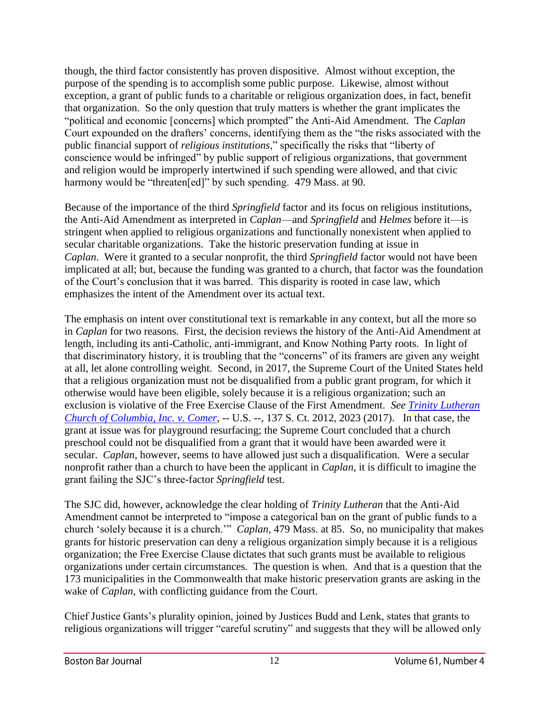though, the third factor consistently has proven dispositive. Almost without exception, the purpose of the spending is to accomplish some public purpose. Likewise, almost without exception, a grant of public funds to a charitable or religious organization does, in fact, benefit that organization. So the only question that truly matters is whether the grant implicates the "political and economic [concerns] which prompted" the Anti-Aid Amendment. The *Caplan*  Court expounded on the drafters' concerns, identifying them as the "the risks associated with the public financial support of *religious institutions*," specifically the risks that "liberty of conscience would be infringed" by public support of religious organizations, that government and religion would be improperly intertwined if such spending were allowed, and that civic harmony would be "threaten[ed]" by such spending. 479 Mass. at 90.

Because of the importance of the third *Springfield* factor and its focus on religious institutions, the Anti-Aid Amendment as interpreted in *Caplan*—and *Springfield* and *Helmes* before it—is stringent when applied to religious organizations and functionally nonexistent when applied to secular charitable organizations. Take the historic preservation funding at issue in *Caplan*. Were it granted to a secular nonprofit, the third *Springfield* factor would not have been implicated at all; but, because the funding was granted to a church, that factor was the foundation of the Court's conclusion that it was barred. This disparity is rooted in case law, which emphasizes the intent of the Amendment over its actual text.

The emphasis on intent over constitutional text is remarkable in any context, but all the more so in *Caplan* for two reasons. First, the decision reviews the history of the Anti-Aid Amendment at length, including its anti-Catholic, anti-immigrant, and Know Nothing Party roots. In light of that discriminatory history, it is troubling that the "concerns" of its framers are given any weight at all, let alone controlling weight. Second, in 2017, the Supreme Court of the United States held that a religious organization must not be disqualified from a public grant program, for which it otherwise would have been eligible, solely because it is a religious organization; such an exclusion is violative of the Free Exercise Clause of the First Amendment. *See [Trinity Lutheran](https://www.supremecourt.gov/opinions/16pdf/15-577_khlp.pdf)  [Church of Columbia, Inc. v. Comer](https://www.supremecourt.gov/opinions/16pdf/15-577_khlp.pdf)*, -- U.S. --, 137 S. Ct. 2012, 2023 (2017). In that case, the grant at issue was for playground resurfacing; the Supreme Court concluded that a church preschool could not be disqualified from a grant that it would have been awarded were it secular. *Caplan*, however, seems to have allowed just such a disqualification. Were a secular nonprofit rather than a church to have been the applicant in *Caplan*, it is difficult to imagine the grant failing the SJC's three-factor *Springfield* test.

The SJC did, however, acknowledge the clear holding of *Trinity Lutheran* that the Anti-Aid Amendment cannot be interpreted to "impose a categorical ban on the grant of public funds to a church 'solely because it is a church.'" *Caplan*, 479 Mass. at 85. So, no municipality that makes grants for historic preservation can deny a religious organization simply because it is a religious organization; the Free Exercise Clause dictates that such grants must be available to religious organizations under certain circumstances. The question is when. And that is a question that the 173 municipalities in the Commonwealth that make historic preservation grants are asking in the wake of *Caplan*, with conflicting guidance from the Court.

Chief Justice Gants's plurality opinion, joined by Justices Budd and Lenk, states that grants to religious organizations will trigger "careful scrutiny" and suggests that they will be allowed only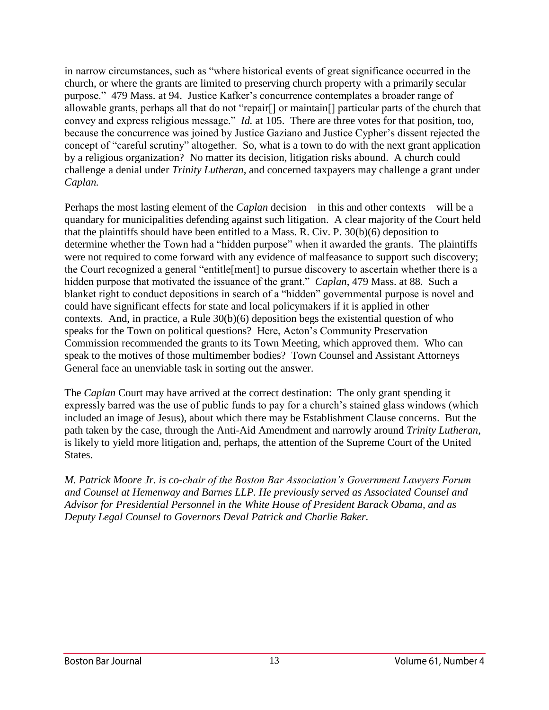in narrow circumstances, such as "where historical events of great significance occurred in the church, or where the grants are limited to preserving church property with a primarily secular purpose." 479 Mass. at 94. Justice Kafker's concurrence contemplates a broader range of allowable grants, perhaps all that do not "repair[] or maintain[] particular parts of the church that convey and express religious message." *Id.* at 105. There are three votes for that position, too, because the concurrence was joined by Justice Gaziano and Justice Cypher's dissent rejected the concept of "careful scrutiny" altogether. So, what is a town to do with the next grant application by a religious organization? No matter its decision, litigation risks abound. A church could challenge a denial under *Trinity Lutheran*, and concerned taxpayers may challenge a grant under *Caplan.*

Perhaps the most lasting element of the *Caplan* decision—in this and other contexts—will be a quandary for municipalities defending against such litigation. A clear majority of the Court held that the plaintiffs should have been entitled to a Mass. R. Civ. P. 30(b)(6) deposition to determine whether the Town had a "hidden purpose" when it awarded the grants. The plaintiffs were not required to come forward with any evidence of malfeasance to support such discovery; the Court recognized a general "entitle[ment] to pursue discovery to ascertain whether there is a hidden purpose that motivated the issuance of the grant." *Caplan*, 479 Mass. at 88. Such a blanket right to conduct depositions in search of a "hidden" governmental purpose is novel and could have significant effects for state and local policymakers if it is applied in other contexts. And, in practice, a Rule 30(b)(6) deposition begs the existential question of who speaks for the Town on political questions? Here, Acton's Community Preservation Commission recommended the grants to its Town Meeting, which approved them. Who can speak to the motives of those multimember bodies? Town Counsel and Assistant Attorneys General face an unenviable task in sorting out the answer.

The *Caplan* Court may have arrived at the correct destination: The only grant spending it expressly barred was the use of public funds to pay for a church's stained glass windows (which included an image of Jesus), about which there may be Establishment Clause concerns. But the path taken by the case, through the Anti-Aid Amendment and narrowly around *Trinity Lutheran*, is likely to yield more litigation and, perhaps, the attention of the Supreme Court of the United States.

*M. Patrick Moore Jr. is co-chair of the Boston Bar Association's Government Lawyers Forum and Counsel at Hemenway and Barnes LLP. He previously served as Associated Counsel and Advisor for Presidential Personnel in the White House of President Barack Obama, and as Deputy Legal Counsel to Governors Deval Patrick and Charlie Baker.*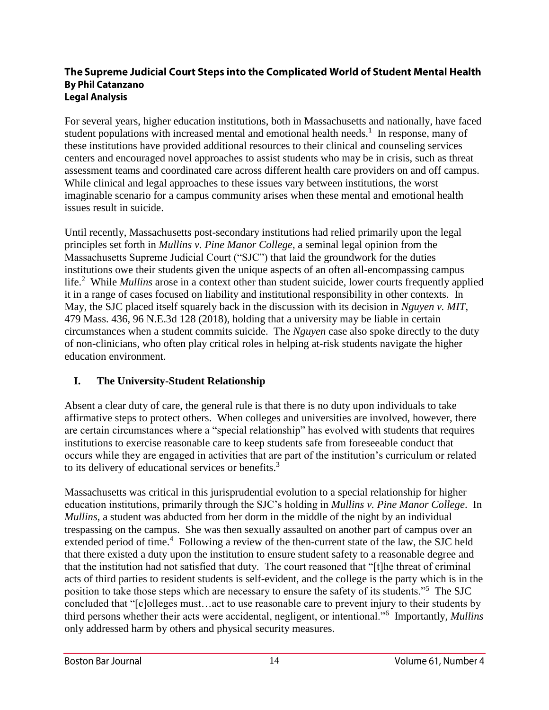#### The Supreme Judicial Court Steps into the Complicated World of Student Mental Health **By Phil Catanzano Legal Analysis**

For several years, higher education institutions, both in Massachusetts and nationally, have faced student populations with increased mental and emotional health needs.<sup>1</sup> In response, many of these institutions have provided additional resources to their clinical and counseling services centers and encouraged novel approaches to assist students who may be in crisis, such as threat assessment teams and coordinated care across different health care providers on and off campus. While clinical and legal approaches to these issues vary between institutions, the worst imaginable scenario for a campus community arises when these mental and emotional health issues result in suicide.

Until recently, Massachusetts post-secondary institutions had relied primarily upon the legal principles set forth in *Mullins v. Pine Manor College*, a seminal legal opinion from the Massachusetts Supreme Judicial Court ("SJC") that laid the groundwork for the duties institutions owe their students given the unique aspects of an often all-encompassing campus life.<sup>2</sup> While *Mullins* arose in a context other than student suicide, lower courts frequently applied it in a range of cases focused on liability and institutional responsibility in other contexts. In May, the SJC placed itself squarely back in the discussion with its decision in *Nguyen v. MIT*, 479 Mass. 436, 96 N.E.3d 128 (2018), holding that a university may be liable in certain circumstances when a student commits suicide. The *Nguyen* case also spoke directly to the duty of non-clinicians, who often play critical roles in helping at-risk students navigate the higher education environment.

# **I. The University-Student Relationship**

Absent a clear duty of care, the general rule is that there is no duty upon individuals to take affirmative steps to protect others. When colleges and universities are involved, however, there are certain circumstances where a "special relationship" has evolved with students that requires institutions to exercise reasonable care to keep students safe from foreseeable conduct that occurs while they are engaged in activities that are part of the institution's curriculum or related to its delivery of educational services or benefits.<sup>3</sup>

Massachusetts was critical in this jurisprudential evolution to a special relationship for higher education institutions, primarily through the SJC's holding in *Mullins v. Pine Manor College*. In *Mullins*, a student was abducted from her dorm in the middle of the night by an individual trespassing on the campus. She was then sexually assaulted on another part of campus over an extended period of time.<sup>4</sup> Following a review of the then-current state of the law, the SJC held that there existed a duty upon the institution to ensure student safety to a reasonable degree and that the institution had not satisfied that duty. The court reasoned that "[t]he threat of criminal acts of third parties to resident students is self-evident, and the college is the party which is in the position to take those steps which are necessary to ensure the safety of its students."<sup>5</sup> The SJC concluded that "[c]olleges must…act to use reasonable care to prevent injury to their students by third persons whether their acts were accidental, negligent, or intentional."<sup>6</sup> Importantly, *Mullins* only addressed harm by others and physical security measures.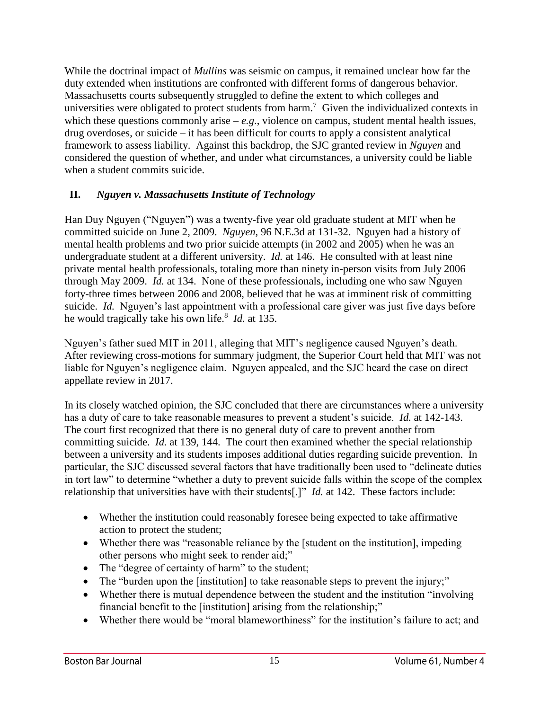While the doctrinal impact of *Mullins* was seismic on campus, it remained unclear how far the duty extended when institutions are confronted with different forms of dangerous behavior. Massachusetts courts subsequently struggled to define the extent to which colleges and universities were obligated to protect students from harm.<sup>7</sup> Given the individualized contexts in which these questions commonly arise –  $e.g.,$  violence on campus, student mental health issues, drug overdoses, or suicide – it has been difficult for courts to apply a consistent analytical framework to assess liability. Against this backdrop, the SJC granted review in *Nguyen* and considered the question of whether, and under what circumstances, a university could be liable when a student commits suicide.

# **II.** *Nguyen v. Massachusetts Institute of Technology*

Han Duy Nguyen ("Nguyen") was a twenty-five year old graduate student at MIT when he committed suicide on June 2, 2009. *Nguyen*, 96 N.E.3d at 131-32. Nguyen had a history of mental health problems and two prior suicide attempts (in 2002 and 2005) when he was an undergraduate student at a different university. *Id.* at 146. He consulted with at least nine private mental health professionals, totaling more than ninety in-person visits from July 2006 through May 2009. *Id.* at 134. None of these professionals, including one who saw Nguyen forty-three times between 2006 and 2008, believed that he was at imminent risk of committing suicide. *Id.* Nguyen's last appointment with a professional care giver was just five days before he would tragically take his own life.<sup>8</sup> *Id.* at 135.

Nguyen's father sued MIT in 2011, alleging that MIT's negligence caused Nguyen's death. After reviewing cross-motions for summary judgment, the Superior Court held that MIT was not liable for Nguyen's negligence claim. Nguyen appealed, and the SJC heard the case on direct appellate review in 2017.

In its closely watched opinion, the SJC concluded that there are circumstances where a university has a duty of care to take reasonable measures to prevent a student's suicide. *Id.* at 142-143. The court first recognized that there is no general duty of care to prevent another from committing suicide. *Id.* at 139, 144. The court then examined whether the special relationship between a university and its students imposes additional duties regarding suicide prevention. In particular, the SJC discussed several factors that have traditionally been used to "delineate duties in tort law" to determine "whether a duty to prevent suicide falls within the scope of the complex relationship that universities have with their students[.]" *Id.* at 142. These factors include:

- Whether the institution could reasonably foresee being expected to take affirmative action to protect the student;
- Whether there was "reasonable reliance by the [student on the institution], impeding other persons who might seek to render aid;"
- The "degree of certainty of harm" to the student;
- The "burden upon the [institution] to take reasonable steps to prevent the injury;"
- Whether there is mutual dependence between the student and the institution "involving" financial benefit to the [institution] arising from the relationship;"
- Whether there would be "moral blameworthiness" for the institution's failure to act; and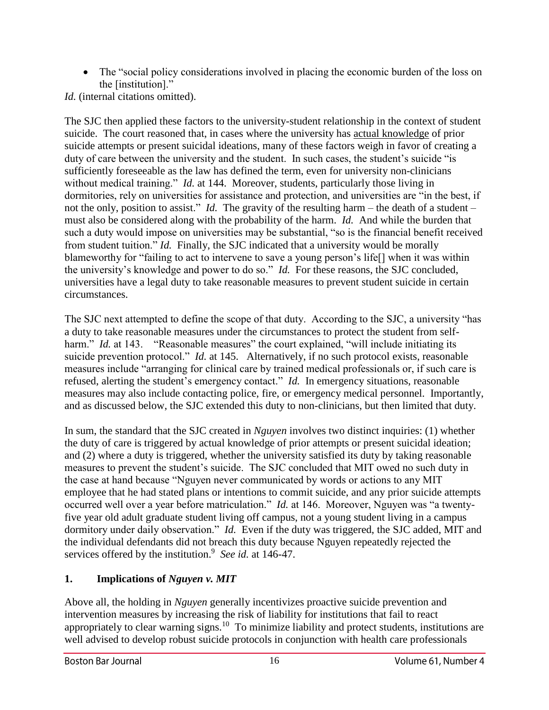• The "social policy considerations involved in placing the economic burden of the loss on the [institution]."

*Id.* (internal citations omitted).

The SJC then applied these factors to the university-student relationship in the context of student suicide. The court reasoned that, in cases where the university has actual knowledge of prior suicide attempts or present suicidal ideations, many of these factors weigh in favor of creating a duty of care between the university and the student. In such cases, the student's suicide "is sufficiently foreseeable as the law has defined the term, even for university non-clinicians without medical training." *Id.* at 144. Moreover, students, particularly those living in dormitories, rely on universities for assistance and protection, and universities are "in the best, if not the only, position to assist." *Id.* The gravity of the resulting harm – the death of a student – must also be considered along with the probability of the harm. *Id.* And while the burden that such a duty would impose on universities may be substantial, "so is the financial benefit received from student tuition." *Id.* Finally, the SJC indicated that a university would be morally blameworthy for "failing to act to intervene to save a young person's life[] when it was within the university's knowledge and power to do so." *Id.* For these reasons, the SJC concluded, universities have a legal duty to take reasonable measures to prevent student suicide in certain circumstances.

The SJC next attempted to define the scope of that duty. According to the SJC, a university "has a duty to take reasonable measures under the circumstances to protect the student from selfharm." *Id.* at 143. "Reasonable measures" the court explained, "will include initiating its suicide prevention protocol." *Id.* at 145. Alternatively, if no such protocol exists, reasonable measures include "arranging for clinical care by trained medical professionals or, if such care is refused, alerting the student's emergency contact." *Id.* In emergency situations, reasonable measures may also include contacting police, fire, or emergency medical personnel. Importantly, and as discussed below, the SJC extended this duty to non-clinicians, but then limited that duty.

In sum, the standard that the SJC created in *Nguyen* involves two distinct inquiries: (1) whether the duty of care is triggered by actual knowledge of prior attempts or present suicidal ideation; and (2) where a duty is triggered, whether the university satisfied its duty by taking reasonable measures to prevent the student's suicide. The SJC concluded that MIT owed no such duty in the case at hand because "Nguyen never communicated by words or actions to any MIT employee that he had stated plans or intentions to commit suicide, and any prior suicide attempts occurred well over a year before matriculation." *Id.* at 146. Moreover, Nguyen was "a twentyfive year old adult graduate student living off campus, not a young student living in a campus dormitory under daily observation." *Id.* Even if the duty was triggered, the SJC added, MIT and the individual defendants did not breach this duty because Nguyen repeatedly rejected the services offered by the institution.<sup>9</sup> See id. at 146-47.

# **1. Implications of** *Nguyen v. MIT*

Above all, the holding in *Nguyen* generally incentivizes proactive suicide prevention and intervention measures by increasing the risk of liability for institutions that fail to react appropriately to clear warning signs.<sup>10</sup> To minimize liability and protect students, institutions are well advised to develop robust suicide protocols in conjunction with health care professionals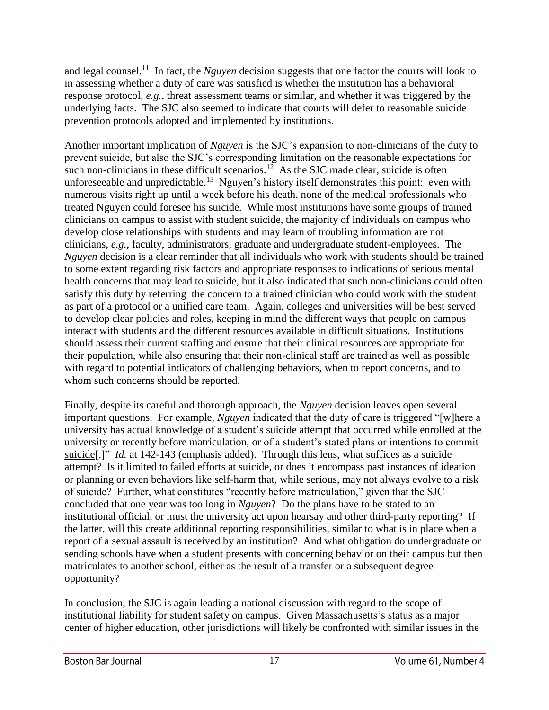and legal counsel.<sup>11</sup> In fact, the *Nguyen* decision suggests that one factor the courts will look to in assessing whether a duty of care was satisfied is whether the institution has a behavioral response protocol, *e.g.*, threat assessment teams or similar, and whether it was triggered by the underlying facts. The SJC also seemed to indicate that courts will defer to reasonable suicide prevention protocols adopted and implemented by institutions.

Another important implication of *Nguyen* is the SJC's expansion to non-clinicians of the duty to prevent suicide, but also the SJC's corresponding limitation on the reasonable expectations for such non-clinicians in these difficult scenarios.<sup>12</sup> As the SJC made clear, suicide is often unforeseeable and unpredictable.<sup>13</sup> Nguyen's history itself demonstrates this point: even with numerous visits right up until a week before his death, none of the medical professionals who treated Nguyen could foresee his suicide. While most institutions have some groups of trained clinicians on campus to assist with student suicide, the majority of individuals on campus who develop close relationships with students and may learn of troubling information are not clinicians, *e.g.*, faculty, administrators, graduate and undergraduate student-employees. The *Nguyen* decision is a clear reminder that all individuals who work with students should be trained to some extent regarding risk factors and appropriate responses to indications of serious mental health concerns that may lead to suicide, but it also indicated that such non-clinicians could often satisfy this duty by referring the concern to a trained clinician who could work with the student as part of a protocol or a unified care team. Again, colleges and universities will be best served to develop clear policies and roles, keeping in mind the different ways that people on campus interact with students and the different resources available in difficult situations. Institutions should assess their current staffing and ensure that their clinical resources are appropriate for their population, while also ensuring that their non-clinical staff are trained as well as possible with regard to potential indicators of challenging behaviors, when to report concerns, and to whom such concerns should be reported.

Finally, despite its careful and thorough approach, the *Nguyen* decision leaves open several important questions. For example, *Nguyen* indicated that the duty of care is triggered "[w]here a university has actual knowledge of a student's suicide attempt that occurred while enrolled at the university or recently before matriculation, or of a student's stated plans or intentions to commit suicide<sup>[.]"</sup> *Id.* at 142-143 (emphasis added). Through this lens, what suffices as a suicide attempt? Is it limited to failed efforts at suicide, or does it encompass past instances of ideation or planning or even behaviors like self-harm that, while serious, may not always evolve to a risk of suicide? Further, what constitutes "recently before matriculation," given that the SJC concluded that one year was too long in *Nguyen*? Do the plans have to be stated to an institutional official, or must the university act upon hearsay and other third-party reporting? If the latter, will this create additional reporting responsibilities, similar to what is in place when a report of a sexual assault is received by an institution? And what obligation do undergraduate or sending schools have when a student presents with concerning behavior on their campus but then matriculates to another school, either as the result of a transfer or a subsequent degree opportunity?

In conclusion, the SJC is again leading a national discussion with regard to the scope of institutional liability for student safety on campus. Given Massachusetts's status as a major center of higher education, other jurisdictions will likely be confronted with similar issues in the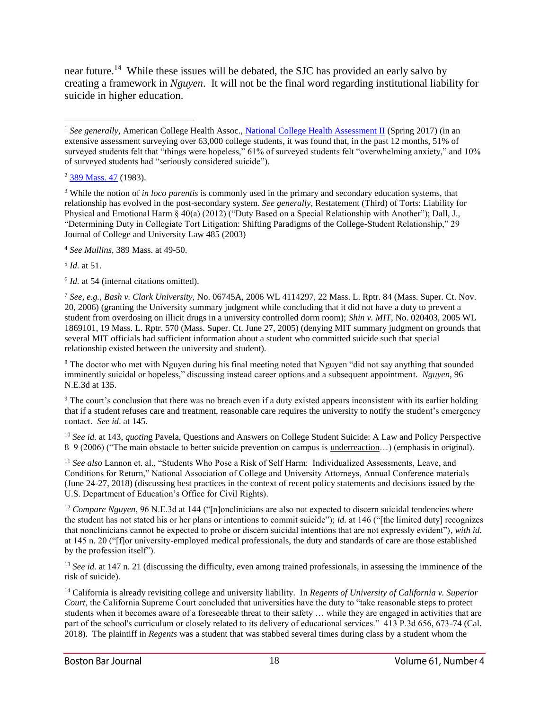near future.<sup>14</sup> While these issues will be debated, the SJC has provided an early salvo by creating a framework in *Nguyen*. It will not be the final word regarding institutional liability for suicide in higher education.

<sup>3</sup> While the notion of *in loco parentis* is commonly used in the primary and secondary education systems, that relationship has evolved in the post-secondary system. *See generally*, Restatement (Third) of Torts: Liability for Physical and Emotional Harm § 40(a) (2012) ("Duty Based on a Special Relationship with Another"); Dall, J., "Determining Duty in Collegiate Tort Litigation: Shifting Paradigms of the College-Student Relationship," 29 Journal of College and University Law 485 (2003)

<sup>4</sup> *See Mullins*, 389 Mass. at 49-50.

5 *Id.* at 51.

<sup>6</sup> *Id.* at 54 (internal citations omitted).

<sup>7</sup> *See, e.g., Bash v. Clark University*, No. 06745A, 2006 WL 4114297, 22 Mass. L. Rptr. 84 (Mass. Super. Ct. Nov. 20, 2006) (granting the University summary judgment while concluding that it did not have a duty to prevent a student from overdosing on illicit drugs in a university controlled dorm room); *Shin v. MIT*, No. 020403, 2005 WL 1869101, 19 Mass. L. Rptr. 570 (Mass. Super. Ct. June 27, 2005) (denying MIT summary judgment on grounds that several MIT officials had sufficient information about a student who committed suicide such that special relationship existed between the university and student).

<sup>8</sup> The doctor who met with Nguyen during his final meeting noted that Nguyen "did not say anything that sounded imminently suicidal or hopeless," discussing instead career options and a subsequent appointment. *Nguyen*, 96 N.E.3d at 135.

<sup>9</sup> The court's conclusion that there was no breach even if a duty existed appears inconsistent with its earlier holding that if a student refuses care and treatment, reasonable care requires the university to notify the student's emergency contact. *See id*. at 145.

<sup>10</sup> *See id.* at 143, *quotin*g Pavela, Questions and Answers on College Student Suicide: A Law and Policy Perspective 8–9 (2006) ("The main obstacle to better suicide prevention on campus is <u>underreaction</u>...) (emphasis in original).

<sup>11</sup> *See also* Lannon et. al., "Students Who Pose a Risk of Self Harm: Individualized Assessments, Leave, and Conditions for Return," National Association of College and University Attorneys, Annual Conference materials (June 24-27, 2018) (discussing best practices in the context of recent policy statements and decisions issued by the U.S. Department of Education's Office for Civil Rights).

<sup>12</sup> *Compare Nguyen*, 96 N.E.3d at 144 ("[n]onclinicians are also not expected to discern suicidal tendencies where the student has not stated his or her plans or intentions to commit suicide"); *id.* at 146 ("[the limited duty] recognizes that nonclinicians cannot be expected to probe or discern suicidal intentions that are not expressly evident")*, with id.* at 145 n. 20 ("[f]or university-employed medical professionals, the duty and standards of care are those established by the profession itself").

<sup>13</sup> *See id.* at 147 n. 21 (discussing the difficulty, even among trained professionals, in assessing the imminence of the risk of suicide).

<sup>14</sup> California is already revisiting college and university liability. In *Regents of University of California v. Superior Court*, the California Supreme Court concluded that universities have the duty to "take reasonable steps to protect students when it becomes aware of a foreseeable threat to their safety … while they are engaged in activities that are part of the school's curriculum or closely related to its delivery of educational services." 413 P.3d 656, 673-74 (Cal. 2018). The plaintiff in *Regents* was a student that was stabbed several times during class by a student whom the

<sup>&</sup>lt;sup>1</sup> See generally, American College Health Assoc., [National College Health Assessment II](http://www.acha-ncha.org/docs/NCHA-II_SPRING_2017_REFERENCE_GROUP_EXECUTIVE_SUMMARY.pdf) (Spring 2017) (in an extensive assessment surveying over 63,000 college students, it was found that, in the past 12 months, 51% of surveyed students felt that "things were hopeless," 61% of surveyed students felt "overwhelming anxiety," and 10% of surveyed students had "seriously considered suicide"). l

<sup>2</sup> [389 Mass. 47](http://masscases.com/cases/sjc/389/389mass47.html) (1983).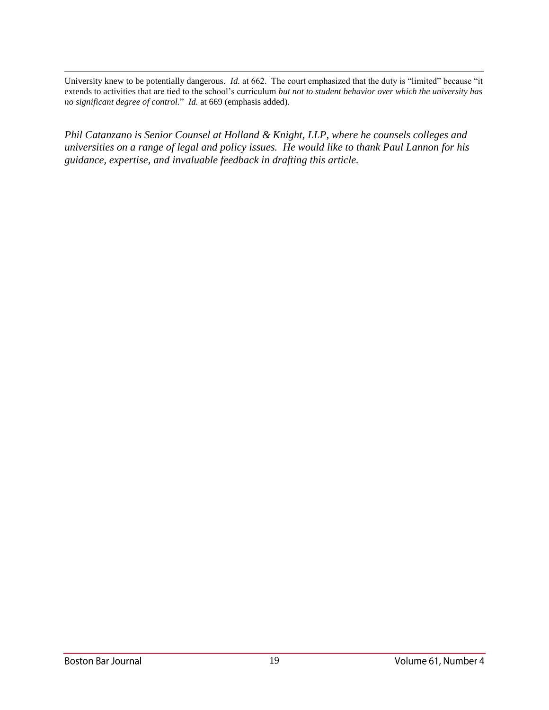l University knew to be potentially dangerous. *Id.* at 662. The court emphasized that the duty is "limited" because "it extends to activities that are tied to the school's curriculum *but not to student behavior over which the university has no significant degree of control.*" *Id.* at 669 (emphasis added).

*Phil Catanzano is Senior Counsel at Holland & Knight, LLP, where he counsels colleges and universities on a range of legal and policy issues. He would like to thank Paul Lannon for his guidance, expertise, and invaluable feedback in drafting this article.*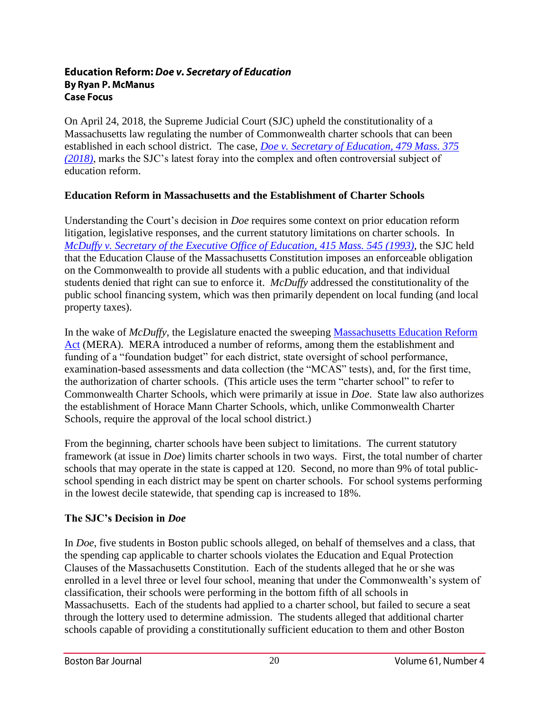#### **Education Reform: Doe v. Secretary of Education By Ryan P. McManus Case Focus**

On April 24, 2018, the Supreme Judicial Court (SJC) upheld the constitutionality of a Massachusetts law regulating the number of Commonwealth charter schools that can been established in each school district. The case, *[Doe v. Secretary of Education, 479 Mass. 375](https://law.justia.com/cases/massachusetts/supreme-court/2018/sjc-12275.html)  [\(2018\)](https://law.justia.com/cases/massachusetts/supreme-court/2018/sjc-12275.html)*, marks the SJC's latest foray into the complex and often controversial subject of education reform.

# **Education Reform in Massachusetts and the Establishment of Charter Schools**

Understanding the Court's decision in *Doe* requires some context on prior education reform litigation, legislative responses, and the current statutory limitations on charter schools. In *[McDuffy v. Secretary of the Executive Office of Education, 415 Mass. 545 \(1993\)](http://masscases.com/cases/sjc/415/415mass545.html)*, the SJC held that the Education Clause of the Massachusetts Constitution imposes an enforceable obligation on the Commonwealth to provide all students with a public education, and that individual students denied that right can sue to enforce it. *McDuffy* addressed the constitutionality of the public school financing system, which was then primarily dependent on local funding (and local property taxes).

In the wake of *McDuffy*, the Legislature enacted the sweeping [Massachusetts Education Reform](http://archives.lib.state.ma.us/actsResolves/1993/1993acts0071.pdf)  [Act](http://archives.lib.state.ma.us/actsResolves/1993/1993acts0071.pdf) (MERA). MERA introduced a number of reforms, among them the establishment and funding of a "foundation budget" for each district, state oversight of school performance, examination-based assessments and data collection (the "MCAS" tests), and, for the first time, the authorization of charter schools. (This article uses the term "charter school" to refer to Commonwealth Charter Schools, which were primarily at issue in *Doe*. State law also authorizes the establishment of Horace Mann Charter Schools, which, unlike Commonwealth Charter Schools, require the approval of the local school district.)

From the beginning, charter schools have been subject to limitations. The current statutory framework (at issue in *Doe*) limits charter schools in two ways. First, the total number of charter schools that may operate in the state is capped at 120. Second, no more than 9% of total publicschool spending in each district may be spent on charter schools. For school systems performing in the lowest decile statewide, that spending cap is increased to 18%.

## **The SJC's Decision in** *Doe*

In *Doe*, five students in Boston public schools alleged, on behalf of themselves and a class, that the spending cap applicable to charter schools violates the Education and Equal Protection Clauses of the Massachusetts Constitution. Each of the students alleged that he or she was enrolled in a level three or level four school, meaning that under the Commonwealth's system of classification, their schools were performing in the bottom fifth of all schools in Massachusetts. Each of the students had applied to a charter school, but failed to secure a seat through the lottery used to determine admission. The students alleged that additional charter schools capable of providing a constitutionally sufficient education to them and other Boston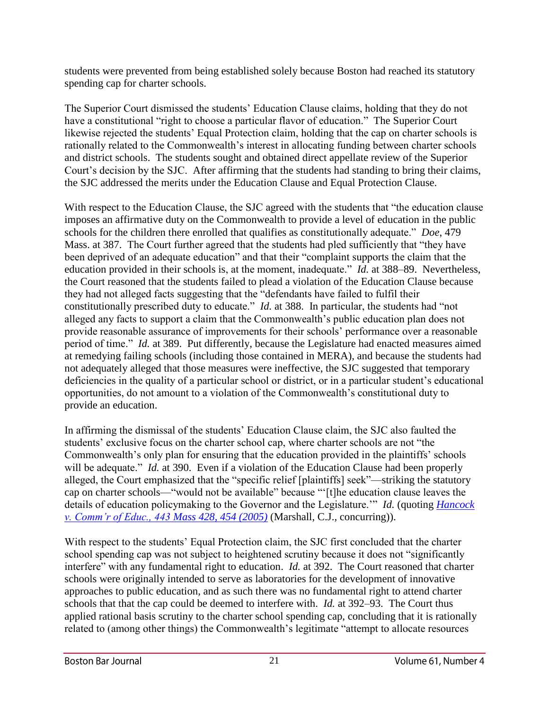students were prevented from being established solely because Boston had reached its statutory spending cap for charter schools.

The Superior Court dismissed the students' Education Clause claims, holding that they do not have a constitutional "right to choose a particular flavor of education." The Superior Court likewise rejected the students' Equal Protection claim, holding that the cap on charter schools is rationally related to the Commonwealth's interest in allocating funding between charter schools and district schools. The students sought and obtained direct appellate review of the Superior Court's decision by the SJC. After affirming that the students had standing to bring their claims, the SJC addressed the merits under the Education Clause and Equal Protection Clause.

With respect to the Education Clause, the SJC agreed with the students that "the education clause imposes an affirmative duty on the Commonwealth to provide a level of education in the public schools for the children there enrolled that qualifies as constitutionally adequate." *Doe*, 479 Mass. at 387. The Court further agreed that the students had pled sufficiently that "they have been deprived of an adequate education" and that their "complaint supports the claim that the education provided in their schools is, at the moment, inadequate." *Id.* at 388–89. Nevertheless, the Court reasoned that the students failed to plead a violation of the Education Clause because they had not alleged facts suggesting that the "defendants have failed to fulfil their constitutionally prescribed duty to educate." *Id.* at 388. In particular, the students had "not alleged any facts to support a claim that the Commonwealth's public education plan does not provide reasonable assurance of improvements for their schools' performance over a reasonable period of time." *Id.* at 389. Put differently, because the Legislature had enacted measures aimed at remedying failing schools (including those contained in MERA), and because the students had not adequately alleged that those measures were ineffective, the SJC suggested that temporary deficiencies in the quality of a particular school or district, or in a particular student's educational opportunities, do not amount to a violation of the Commonwealth's constitutional duty to provide an education.

In affirming the dismissal of the students' Education Clause claim, the SJC also faulted the students' exclusive focus on the charter school cap, where charter schools are not "the Commonwealth's only plan for ensuring that the education provided in the plaintiffs' schools will be adequate." *Id.* at 390. Even if a violation of the Education Clause had been properly alleged, the Court emphasized that the "specific relief [plaintiffs] seek"—striking the statutory cap on charter schools—"would not be available" because "'[t]he education clause leaves the details of education policymaking to the Governor and the Legislature.'" *Id.* (quoting *[Hancock](https://caselaw.findlaw.com/ma-supreme-judicial-court/1336244.html)  [v. Comm'r of Educ., 443](https://caselaw.findlaw.com/ma-supreme-judicial-court/1336244.html) Mass 428, 454 (2005)* (Marshall, C.J., concurring)).

With respect to the students' Equal Protection claim, the SJC first concluded that the charter school spending cap was not subject to heightened scrutiny because it does not "significantly interfere" with any fundamental right to education. *Id.* at 392. The Court reasoned that charter schools were originally intended to serve as laboratories for the development of innovative approaches to public education, and as such there was no fundamental right to attend charter schools that that the cap could be deemed to interfere with. *Id.* at 392–93. The Court thus applied rational basis scrutiny to the charter school spending cap, concluding that it is rationally related to (among other things) the Commonwealth's legitimate "attempt to allocate resources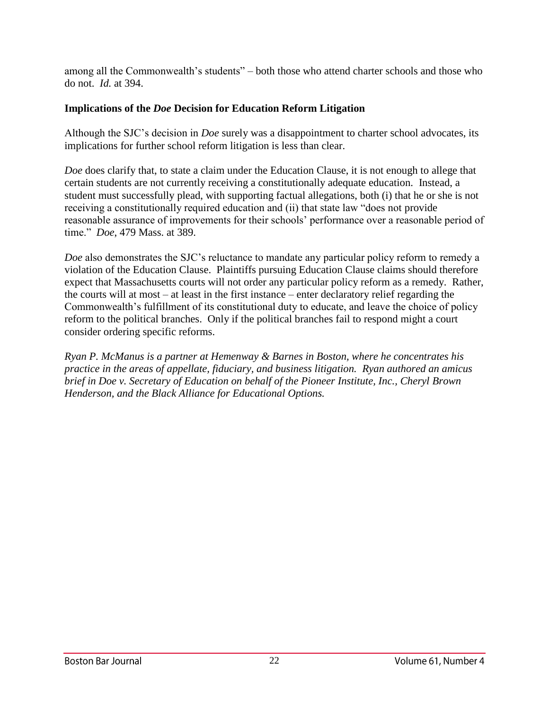among all the Commonwealth's students" – both those who attend charter schools and those who do not. *Id.* at 394.

# **Implications of the** *Doe* **Decision for Education Reform Litigation**

Although the SJC's decision in *Doe* surely was a disappointment to charter school advocates, its implications for further school reform litigation is less than clear.

*Doe* does clarify that, to state a claim under the Education Clause, it is not enough to allege that certain students are not currently receiving a constitutionally adequate education. Instead, a student must successfully plead, with supporting factual allegations, both (i) that he or she is not receiving a constitutionally required education and (ii) that state law "does not provide reasonable assurance of improvements for their schools' performance over a reasonable period of time." *Doe*, 479 Mass. at 389.

*Doe* also demonstrates the SJC's reluctance to mandate any particular policy reform to remedy a violation of the Education Clause. Plaintiffs pursuing Education Clause claims should therefore expect that Massachusetts courts will not order any particular policy reform as a remedy. Rather, the courts will at most – at least in the first instance – enter declaratory relief regarding the Commonwealth's fulfillment of its constitutional duty to educate, and leave the choice of policy reform to the political branches. Only if the political branches fail to respond might a court consider ordering specific reforms.

*Ryan P. McManus is a partner at Hemenway & Barnes in Boston, where he concentrates his practice in the areas of appellate, fiduciary, and business litigation. Ryan authored an amicus brief in Doe v. Secretary of Education on behalf of the Pioneer Institute, Inc., Cheryl Brown Henderson, and the Black Alliance for Educational Options.*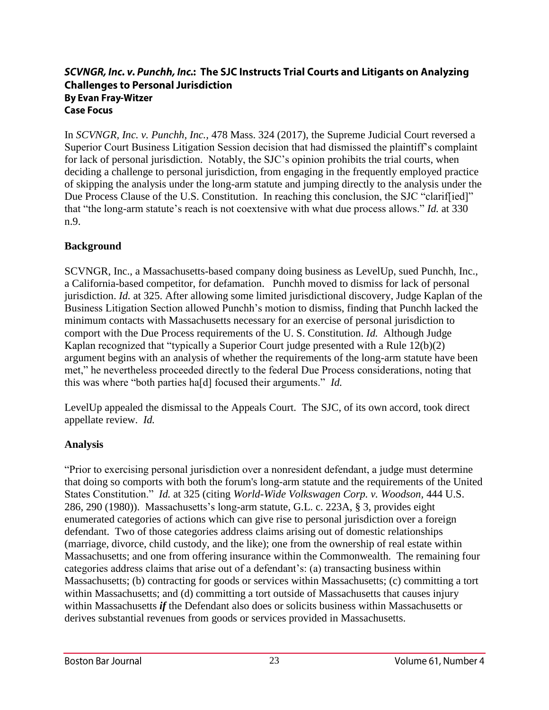# SCVNGR, Inc. v. Punchh, Inc.: The SJC Instructs Trial Courts and Litigants on Analyzing **Challenges to Personal Jurisdiction By Evan Fray-Witzer Case Focus**

In *SCVNGR, Inc. v. Punchh, Inc.,* 478 Mass. 324 (2017), the Supreme Judicial Court reversed a Superior Court Business Litigation Session decision that had dismissed the plaintiff's complaint for lack of personal jurisdiction. Notably, the SJC's opinion prohibits the trial courts, when deciding a challenge to personal jurisdiction, from engaging in the frequently employed practice of skipping the analysis under the long-arm statute and jumping directly to the analysis under the Due Process Clause of the U.S. Constitution. In reaching this conclusion, the SJC "clariffied]" that "the long-arm statute's reach is not coextensive with what due process allows." *Id.* at 330 n.9.

# **Background**

SCVNGR, Inc., a Massachusetts-based company doing business as LevelUp, sued Punchh, Inc., a California-based competitor, for defamation. Punchh moved to dismiss for lack of personal jurisdiction. *Id.* at 325. After allowing some limited jurisdictional discovery, Judge Kaplan of the Business Litigation Section allowed Punchh's motion to dismiss, finding that Punchh lacked the minimum contacts with Massachusetts necessary for an exercise of personal jurisdiction to comport with the Due Process requirements of the U. S. Constitution. *Id.* Although Judge Kaplan recognized that "typically a Superior Court judge presented with a Rule 12(b)(2) argument begins with an analysis of whether the requirements of the long-arm statute have been met," he nevertheless proceeded directly to the federal Due Process considerations, noting that this was where "both parties ha[d] focused their arguments." *Id.*

LevelUp appealed the dismissal to the Appeals Court. The SJC, of its own accord, took direct appellate review. *Id.*

# **Analysis**

"Prior to exercising personal jurisdiction over a nonresident defendant, a judge must determine that doing so comports with both the forum's long-arm statute and the requirements of the United States Constitution." *Id.* at 325 (citing *World-Wide Volkswagen Corp. v. Woodson,* 444 U.S. 286, 290 (1980)). Massachusetts's long-arm statute, G.L. c. 223A, § 3, provides eight enumerated categories of actions which can give rise to personal jurisdiction over a foreign defendant. Two of those categories address claims arising out of domestic relationships (marriage, divorce, child custody, and the like); one from the ownership of real estate within Massachusetts; and one from offering insurance within the Commonwealth. The remaining four categories address claims that arise out of a defendant's: (a) transacting business within Massachusetts; (b) contracting for goods or services within Massachusetts; (c) committing a tort within Massachusetts; and (d) committing a tort outside of Massachusetts that causes injury within Massachusetts *if* the Defendant also does or solicits business within Massachusetts or derives substantial revenues from goods or services provided in Massachusetts.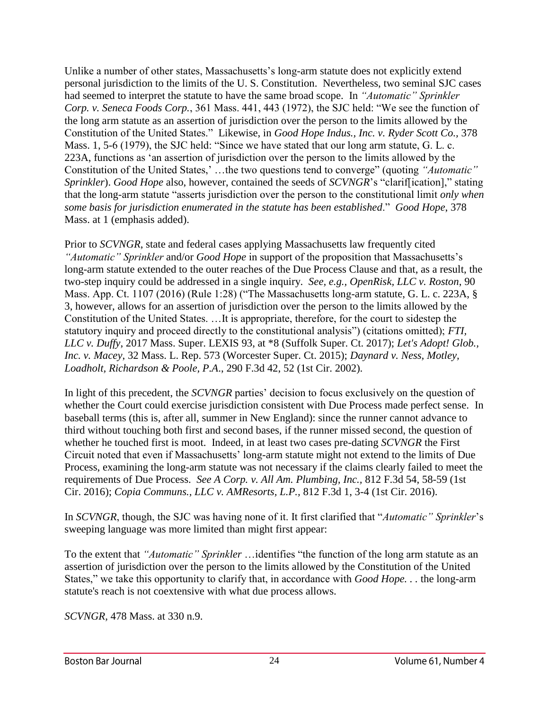Unlike a number of other states, Massachusetts's long-arm statute does not explicitly extend personal jurisdiction to the limits of the U. S. Constitution. Nevertheless, two seminal SJC cases had seemed to interpret the statute to have the same broad scope. In *"Automatic" Sprinkler Corp. v. Seneca Foods Corp.*, 361 Mass. 441, 443 (1972), the SJC held: "We see the function of the long arm statute as an assertion of jurisdiction over the person to the limits allowed by the Constitution of the United States." Likewise, in *Good Hope Indus., Inc. v. Ryder Scott Co.,* 378 Mass. 1, 5-6 (1979), the SJC held: "Since we have stated that our long arm statute, G. L. c. 223A, functions as 'an assertion of jurisdiction over the person to the limits allowed by the Constitution of the United States,' …the two questions tend to converge" (quoting *"Automatic" Sprinkler*). *Good Hope* also, however, contained the seeds of *SCVNGR*'s "clarif[ication]," stating that the long-arm statute "asserts jurisdiction over the person to the constitutional limit *only when some basis for jurisdiction enumerated in the statute has been established*." *Good Hope*, 378 Mass. at 1 (emphasis added).

Prior to *SCVNGR*, state and federal cases applying Massachusetts law frequently cited *"Automatic" Sprinkler* and/or *Good Hope* in support of the proposition that Massachusetts's long-arm statute extended to the outer reaches of the Due Process Clause and that, as a result, the two-step inquiry could be addressed in a single inquiry. *See, e.g., OpenRisk, LLC v. Roston*, 90 Mass. App. Ct. 1107 (2016) (Rule 1:28) ("The Massachusetts long-arm statute, G. L. c. 223A, § 3, however, allows for an assertion of jurisdiction over the person to the limits allowed by the Constitution of the United States. …It is appropriate, therefore, for the court to sidestep the statutory inquiry and proceed directly to the constitutional analysis") (citations omitted); *FTI, LLC v. Duffy*, 2017 Mass. Super. LEXIS 93, at \*8 (Suffolk Super. Ct. 2017); *Let's Adopt! Glob., Inc. v. Macey*, 32 Mass. L. Rep. 573 (Worcester Super. Ct. 2015); *Daynard v. Ness, Motley, Loadholt, Richardson & Poole, P.A*., 290 F.3d 42, 52 (1st Cir. 2002).

In light of this precedent, the *SCVNGR* parties' decision to focus exclusively on the question of whether the Court could exercise jurisdiction consistent with Due Process made perfect sense. In baseball terms (this is, after all, summer in New England): since the runner cannot advance to third without touching both first and second bases, if the runner missed second, the question of whether he touched first is moot. Indeed, in at least two cases pre-dating *SCVNGR* the First Circuit noted that even if Massachusetts' long-arm statute might not extend to the limits of Due Process, examining the long-arm statute was not necessary if the claims clearly failed to meet the requirements of Due Process. *See A Corp. v. All Am. Plumbing, Inc.,* 812 F.3d 54, 58-59 (1st Cir. 2016); *Copia Communs., LLC v. AMResorts, L.P.,* 812 F.3d 1, 3-4 (1st Cir. 2016).

In *SCVNGR*, though, the SJC was having none of it. It first clarified that "*Automatic" Sprinkler*'s sweeping language was more limited than might first appear:

To the extent that *"Automatic" Sprinkler* …identifies "the function of the long arm statute as an assertion of jurisdiction over the person to the limits allowed by the Constitution of the United States," we take this opportunity to clarify that, in accordance with *Good Hope. . .* the long-arm statute's reach is not coextensive with what due process allows.

*SCVNGR,* 478 Mass. at 330 n.9.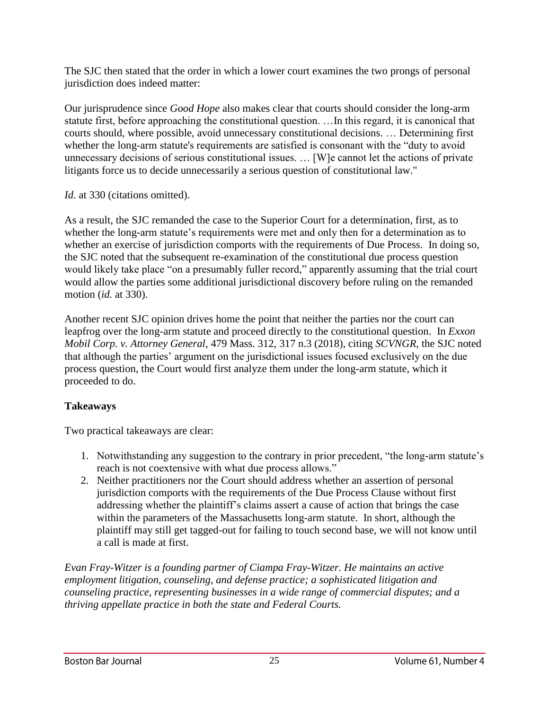The SJC then stated that the order in which a lower court examines the two prongs of personal jurisdiction does indeed matter:

Our jurisprudence since *Good Hope* also makes clear that courts should consider the long-arm statute first, before approaching the constitutional question. …In this regard, it is canonical that courts should, where possible, avoid unnecessary constitutional decisions. … Determining first whether the long-arm statute's requirements are satisfied is consonant with the "duty to avoid unnecessary decisions of serious constitutional issues. … [W]e cannot let the actions of private litigants force us to decide unnecessarily a serious question of constitutional law."

*Id.* at 330 (citations omitted).

As a result, the SJC remanded the case to the Superior Court for a determination, first, as to whether the long-arm statute's requirements were met and only then for a determination as to whether an exercise of jurisdiction comports with the requirements of Due Process. In doing so, the SJC noted that the subsequent re-examination of the constitutional due process question would likely take place "on a presumably fuller record," apparently assuming that the trial court would allow the parties some additional jurisdictional discovery before ruling on the remanded motion (*id.* at 330).

Another recent SJC opinion drives home the point that neither the parties nor the court can leapfrog over the long-arm statute and proceed directly to the constitutional question. In *Exxon Mobil Corp. v. Attorney General*, 479 Mass. 312, 317 n.3 (2018), citing *SCVNGR,* the SJC noted that although the parties' argument on the jurisdictional issues focused exclusively on the due process question, the Court would first analyze them under the long-arm statute, which it proceeded to do.

# **Takeaways**

Two practical takeaways are clear:

- 1. Notwithstanding any suggestion to the contrary in prior precedent, "the long-arm statute's reach is not coextensive with what due process allows."
- 2. Neither practitioners nor the Court should address whether an assertion of personal jurisdiction comports with the requirements of the Due Process Clause without first addressing whether the plaintiff's claims assert a cause of action that brings the case within the parameters of the Massachusetts long-arm statute. In short, although the plaintiff may still get tagged-out for failing to touch second base, we will not know until a call is made at first.

*Evan Fray-Witzer is a founding partner of Ciampa Fray-Witzer. He maintains an active employment litigation, counseling, and defense practice; a sophisticated litigation and counseling practice, representing businesses in a wide range of commercial disputes; and a thriving appellate practice in both the state and Federal Courts.*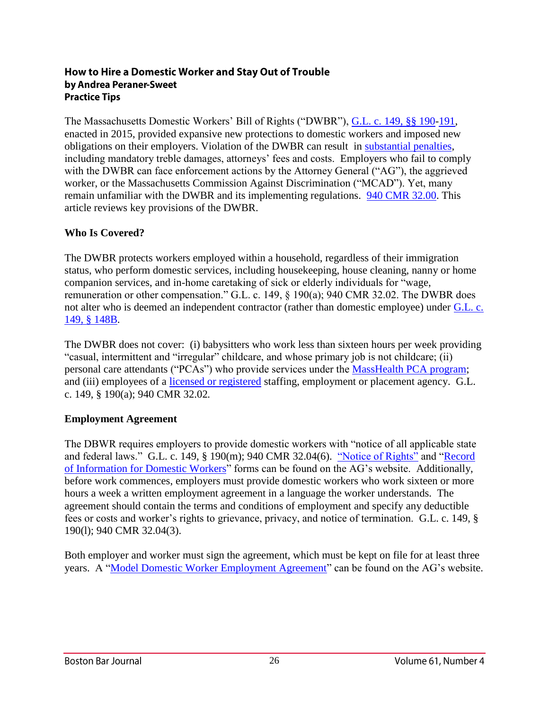#### How to Hire a Domestic Worker and Stay Out of Trouble by Andrea Peraner-Sweet **Practice Tips**

The Massachusetts Domestic Workers' Bill of Rights ("DWBR"), [G.L. c. 149, §§ 190](https://malegislature.gov/Laws/GeneralLaws/PartI/TitleXXI/Chapter149/Section190)[-191,](https://malegislature.gov/Laws/GeneralLaws/PartI/TitleXXI/Chapter149/Section191) enacted in 2015, provided expansive new protections to domestic workers and imposed new obligations on their employers. Violation of the DWBR can result in [substantial penalties,](http://www.mass.gov/ago/news-and-updates/press-releases/2017/2017-06-08-couple-failing-to-pay-domestic-worker.html) including mandatory treble damages, attorneys' fees and costs. Employers who fail to comply with the DWBR can face enforcement actions by the Attorney General ("AG"), the aggrieved worker, or the Massachusetts Commission Against Discrimination ("MCAD"). Yet, many remain unfamiliar with the DWBR and its implementing regulations. [940 CMR 32.00.](https://www.mass.gov/files/documents/2016/08/vr/940-cmr-32-00.pdf) This article reviews key provisions of the DWBR.

# **Who Is Covered?**

The DWBR protects workers employed within a household, regardless of their immigration status, who perform domestic services, including housekeeping, house cleaning, nanny or home companion services, and in-home caretaking of sick or elderly individuals for "wage, remuneration or other compensation." G.L. c. 149, § 190(a); 940 CMR 32.02. The DWBR does not alter who is deemed an independent contractor (rather than domestic employee) under [G.L. c.](https://malegislature.gov/Laws/GeneralLaws/PartI/TitleXXI/Chapter149/Section148B)  [149, § 148B.](https://malegislature.gov/Laws/GeneralLaws/PartI/TitleXXI/Chapter149/Section148B)

The DWBR does not cover: (i) babysitters who work less than sixteen hours per week providing "casual, intermittent and "irregular" childcare, and whose primary job is not childcare; (ii) personal care attendants ("PCAs") who provide services under the [MassHealth PCA program;](https://malegislature.gov/Laws/GeneralLaws/PartI/TitleXVII/Chapter118E/Section70) and (iii) employees of a [licensed or registered](https://malegislature.gov/Laws/GeneralLaws/PartI/TitleXX/Chapter140) staffing, employment or placement agency. G.L. c. 149, § 190(a); 940 CMR 32.02*.*

## **Employment Agreement**

The DBWR requires employers to provide domestic workers with "notice of all applicable state and federal laws." G.L. c. 149, § 190(m); 940 CMR 32.04(6). ["Notice of Rights"](https://www.mass.gov/files/documents/2016/08/ng/dw-notice-of-rights.pdf) and ["Record](https://www.mass.gov/files/documents/2016/08/ty/dw-sample-record-of-information.pdf)  [of Information for Domestic Workers"](https://www.mass.gov/files/documents/2016/08/ty/dw-sample-record-of-information.pdf) forms can be found on the AG's website. Additionally, before work commences, employers must provide domestic workers who work sixteen or more hours a week a written employment agreement in a language the worker understands. The agreement should contain the terms and conditions of employment and specify any deductible fees or costs and worker's rights to grievance, privacy, and notice of termination. G.L. c. 149, § 190(l); 940 CMR 32.04(3).

Both employer and worker must sign the agreement, which must be kept on file for at least three years. A ["Model Domestic Worker Employment Agreement"](https://www.mass.gov/files/documents/2016/10/vn/dw-sample-employment-agreement.pdf) can be found on the AG's website.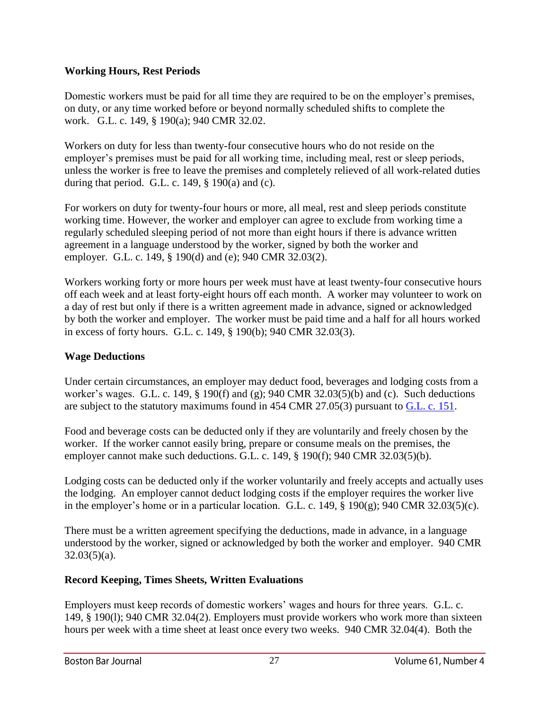## **Working Hours, Rest Periods**

Domestic workers must be paid for all time they are required to be on the employer's premises, on duty, or any time worked before or beyond normally scheduled shifts to complete the work. G.L. c. 149, § 190(a); 940 CMR 32.02.

Workers on duty for less than twenty-four consecutive hours who do not reside on the employer's premises must be paid for all working time, including meal, rest or sleep periods, unless the worker is free to leave the premises and completely relieved of all work-related duties during that period. G.L. c. 149,  $\S$  190(a) and (c).

For workers on duty for twenty-four hours or more, all meal, rest and sleep periods constitute working time. However, the worker and employer can agree to exclude from working time a regularly scheduled sleeping period of not more than eight hours if there is advance written agreement in a language understood by the worker, signed by both the worker and employer. G.L. c. 149, § 190(d) and (e); 940 CMR 32.03(2).

Workers working forty or more hours per week must have at least twenty-four consecutive hours off each week and at least forty-eight hours off each month. A worker may volunteer to work on a day of rest but only if there is a written agreement made in advance, signed or acknowledged by both the worker and employer. The worker must be paid time and a half for all hours worked in excess of forty hours. G.L. c. 149, § 190(b); 940 CMR 32.03(3).

# **Wage Deductions**

Under certain circumstances, an employer may deduct food, beverages and lodging costs from a worker's wages. G.L. c. 149, § 190(f) and (g); 940 CMR 32.03(5)(b) and (c). Such deductions are subject to the statutory maximums found in 454 CMR 27.05(3) pursuant to [G.L. c. 151.](https://malegislature.gov/Laws/GeneralLaws/PartI/TitleXXI/Chapter151/)

Food and beverage costs can be deducted only if they are voluntarily and freely chosen by the worker. If the worker cannot easily bring, prepare or consume meals on the premises, the employer cannot make such deductions. G.L. c. 149, § 190(f); 940 CMR 32.03(5)(b).

Lodging costs can be deducted only if the worker voluntarily and freely accepts and actually uses the lodging. An employer cannot deduct lodging costs if the employer requires the worker live in the employer's home or in a particular location. G.L. c. 149, § 190(g); 940 CMR 32.03(5)(c).

There must be a written agreement specifying the deductions, made in advance, in a language understood by the worker, signed or acknowledged by both the worker and employer. 940 CMR  $32.03(5)(a)$ .

# **Record Keeping, Times Sheets, Written Evaluations**

Employers must keep records of domestic workers' wages and hours for three years. G.L. c. 149, § 190(l); 940 CMR 32.04(2). Employers must provide workers who work more than sixteen hours per week with a time sheet at least once every two weeks. 940 CMR 32.04(4). Both the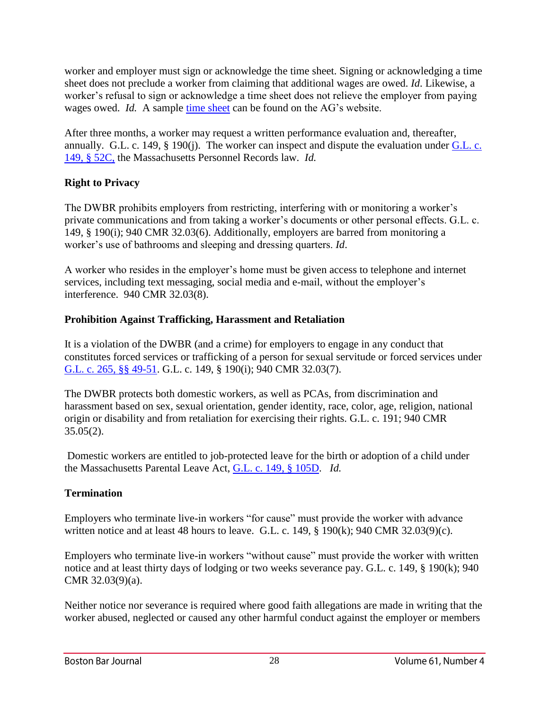worker and employer must sign or acknowledge the time sheet. Signing or acknowledging a time sheet does not preclude a worker from claiming that additional wages are owed. *Id*. Likewise, a worker's refusal to sign or acknowledge a time sheet does not relieve the employer from paying wages owed. *Id.* A sample [time sheet](https://www.mass.gov/files/documents/2016/08/sz/dw-timesheet.pdf) can be found on the AG's website.

After three months, a worker may request a written performance evaluation and, thereafter, annually. G.L. c. 149, § 190(j). The worker can inspect and dispute the evaluation under [G.L. c.](https://malegislature.gov/Laws/GeneralLaws/PartI/TitleXXI/Chapter149/Section52C)  [149, § 52C,](https://malegislature.gov/Laws/GeneralLaws/PartI/TitleXXI/Chapter149/Section52C) the Massachusetts Personnel Records law. *Id.*

# **Right to Privacy**

The DWBR prohibits employers from restricting, interfering with or monitoring a worker's private communications and from taking a worker's documents or other personal effects. G.L. c. 149, § 190(i); 940 CMR 32.03(6). Additionally, employers are barred from monitoring a worker's use of bathrooms and sleeping and dressing quarters. *Id*.

A worker who resides in the employer's home must be given access to telephone and internet services, including text messaging, social media and e-mail, without the employer's interference. 940 CMR 32.03(8).

# **Prohibition Against Trafficking, Harassment and Retaliation**

It is a violation of the DWBR (and a crime) for employers to engage in any conduct that constitutes forced services or trafficking of a person for sexual servitude or forced services under [G.L. c. 265, §§ 49-51.](https://malegislature.gov/Laws/GeneralLaws/PartIV/TitleI/Chapter265) G.L. c. 149, § 190(i); 940 CMR 32.03(7).

The DWBR protects both domestic workers, as well as PCAs, from discrimination and harassment based on sex, sexual orientation, gender identity, race, color, age, religion, national origin or disability and from retaliation for exercising their rights. G.L. c. 191; 940 CMR  $35.05(2)$ .

Domestic workers are entitled to job-protected leave for the birth or adoption of a child under the Massachusetts Parental Leave Act, [G.L. c. 149, § 105D.](https://malegislature.gov/Laws/GeneralLaws/PartI/TitleXXI/Chapter149/Section105d) *Id.*

# **Termination**

Employers who terminate live-in workers "for cause" must provide the worker with advance written notice and at least 48 hours to leave. G.L. c. 149, § 190(k); 940 CMR 32.03(9)(c).

Employers who terminate live-in workers "without cause" must provide the worker with written notice and at least thirty days of lodging or two weeks severance pay. G.L. c. 149, § 190(k); 940 CMR 32.03(9)(a).

Neither notice nor severance is required where good faith allegations are made in writing that the worker abused, neglected or caused any other harmful conduct against the employer or members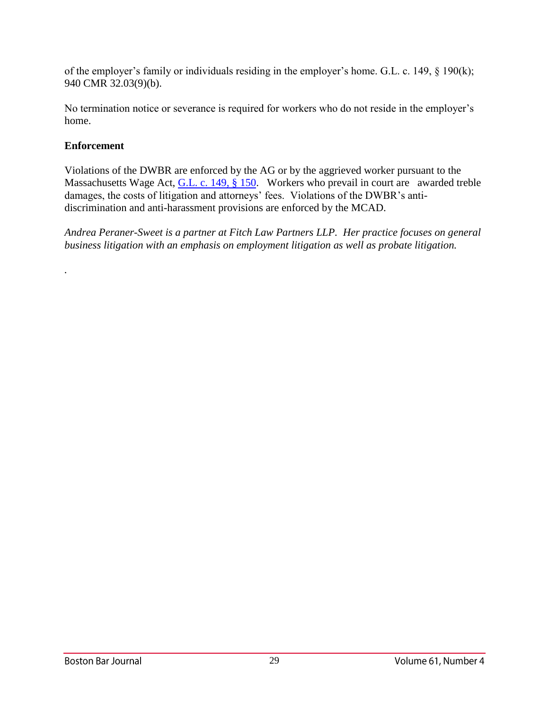of the employer's family or individuals residing in the employer's home. G.L. c. 149, § 190(k); 940 CMR 32.03(9)(b).

No termination notice or severance is required for workers who do not reside in the employer's home.

# **Enforcement**

*.*

Violations of the DWBR are enforced by the AG or by the aggrieved worker pursuant to the Massachusetts Wage Act, [G.L. c. 149, § 150.](https://malegislature.gov/Laws/GeneralLaws/PartI/TitleXXI/Chapter149/Section150) Workers who prevail in court are awarded treble damages, the costs of litigation and attorneys' fees. Violations of the DWBR's antidiscrimination and anti-harassment provisions are enforced by the MCAD.

*Andrea Peraner-Sweet is a partner at Fitch Law Partners LLP. Her practice focuses on general business litigation with an emphasis on employment litigation as well as probate litigation.*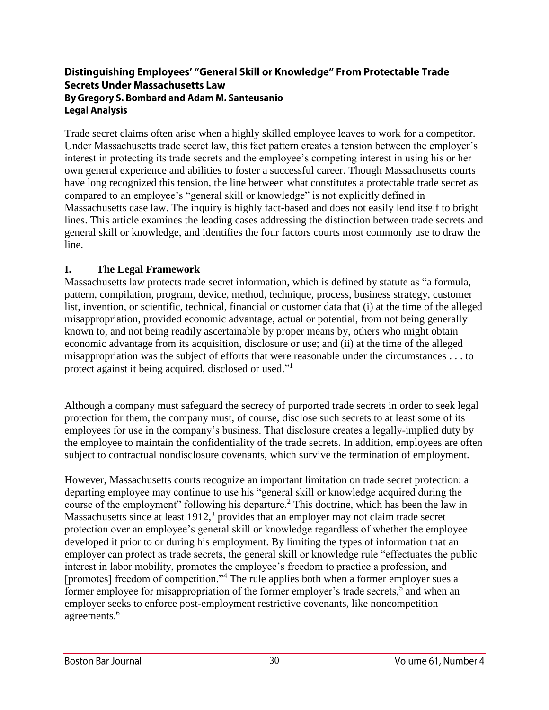## Distinguishing Employees' "General Skill or Knowledge" From Protectable Trade **Secrets Under Massachusetts Law** By Gregory S. Bombard and Adam M. Santeusanio **Legal Analysis**

Trade secret claims often arise when a highly skilled employee leaves to work for a competitor. Under Massachusetts trade secret law, this fact pattern creates a tension between the employer's interest in protecting its trade secrets and the employee's competing interest in using his or her own general experience and abilities to foster a successful career. Though Massachusetts courts have long recognized this tension, the line between what constitutes a protectable trade secret as compared to an employee's "general skill or knowledge" is not explicitly defined in Massachusetts case law. The inquiry is highly fact-based and does not easily lend itself to bright lines. This article examines the leading cases addressing the distinction between trade secrets and general skill or knowledge, and identifies the four factors courts most commonly use to draw the line.

# **I. The Legal Framework**

Massachusetts law protects trade secret information, which is defined by statute as "a formula, pattern, compilation, program, device, method, technique, process, business strategy, customer list, invention, or scientific, technical, financial or customer data that (i) at the time of the alleged misappropriation, provided economic advantage, actual or potential, from not being generally known to, and not being readily ascertainable by proper means by, others who might obtain economic advantage from its acquisition, disclosure or use; and (ii) at the time of the alleged misappropriation was the subject of efforts that were reasonable under the circumstances . . . to protect against it being acquired, disclosed or used."<sup>1</sup>

Although a company must safeguard the secrecy of purported trade secrets in order to seek legal protection for them, the company must, of course, disclose such secrets to at least some of its employees for use in the company's business. That disclosure creates a legally-implied duty by the employee to maintain the confidentiality of the trade secrets. In addition, employees are often subject to contractual nondisclosure covenants, which survive the termination of employment.

However, Massachusetts courts recognize an important limitation on trade secret protection: a departing employee may continue to use his "general skill or knowledge acquired during the course of the employment" following his departure.<sup>2</sup> This doctrine, which has been the law in Massachusetts since at least  $1912$ ,<sup>3</sup> provides that an employer may not claim trade secret protection over an employee's general skill or knowledge regardless of whether the employee developed it prior to or during his employment. By limiting the types of information that an employer can protect as trade secrets, the general skill or knowledge rule "effectuates the public interest in labor mobility, promotes the employee's freedom to practice a profession, and [promotes] freedom of competition."<sup>4</sup> The rule applies both when a former employer sues a former employee for misappropriation of the former employer's trade secrets,<sup>5</sup> and when an employer seeks to enforce post-employment restrictive covenants, like noncompetition agreements.<sup>6</sup>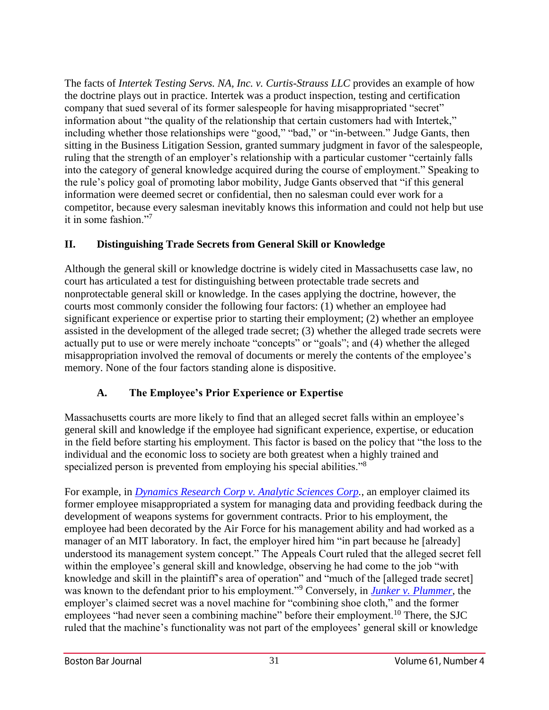The facts of *Intertek Testing Servs. NA, Inc. v. Curtis-Strauss LLC* provides an example of how the doctrine plays out in practice. Intertek was a product inspection, testing and certification company that sued several of its former salespeople for having misappropriated "secret" information about "the quality of the relationship that certain customers had with Intertek," including whether those relationships were "good," "bad," or "in-between." Judge Gants, then sitting in the Business Litigation Session, granted summary judgment in favor of the salespeople, ruling that the strength of an employer's relationship with a particular customer "certainly falls into the category of general knowledge acquired during the course of employment." Speaking to the rule's policy goal of promoting labor mobility, Judge Gants observed that "if this general information were deemed secret or confidential, then no salesman could ever work for a competitor, because every salesman inevitably knows this information and could not help but use it in some fashion."<sup>7</sup>

# **II. Distinguishing Trade Secrets from General Skill or Knowledge**

Although the general skill or knowledge doctrine is widely cited in Massachusetts case law, no court has articulated a test for distinguishing between protectable trade secrets and nonprotectable general skill or knowledge. In the cases applying the doctrine, however, the courts most commonly consider the following four factors: (1) whether an employee had significant experience or expertise prior to starting their employment; (2) whether an employee assisted in the development of the alleged trade secret; (3) whether the alleged trade secrets were actually put to use or were merely inchoate "concepts" or "goals"; and (4) whether the alleged misappropriation involved the removal of documents or merely the contents of the employee's memory. None of the four factors standing alone is dispositive.

# **A. The Employee's Prior Experience or Expertise**

Massachusetts courts are more likely to find that an alleged secret falls within an employee's general skill and knowledge if the employee had significant experience, expertise, or education in the field before starting his employment. This factor is based on the policy that "the loss to the individual and the economic loss to society are both greatest when a highly trained and specialized person is prevented from employing his special abilities."<sup>8</sup>

For example, in *[Dynamics Research Corp v. Analytic Sciences Corp.](http://masscases.com/cases/app/9/9massappct254.html)*, an employer claimed its former employee misappropriated a system for managing data and providing feedback during the development of weapons systems for government contracts. Prior to his employment, the employee had been decorated by the Air Force for his management ability and had worked as a manager of an MIT laboratory. In fact, the employer hired him "in part because he [already] understood its management system concept." The Appeals Court ruled that the alleged secret fell within the employee's general skill and knowledge, observing he had come to the job "with knowledge and skill in the plaintiff's area of operation" and "much of the [alleged trade secret] was known to the defendant prior to his employment."<sup>9</sup> Conversely, in *[Junker v. Plummer](http://masscases.com/cases/sjc/320/320mass76.html)*, the employer's claimed secret was a novel machine for "combining shoe cloth," and the former employees "had never seen a combining machine" before their employment.<sup>10</sup> There, the SJC ruled that the machine's functionality was not part of the employees' general skill or knowledge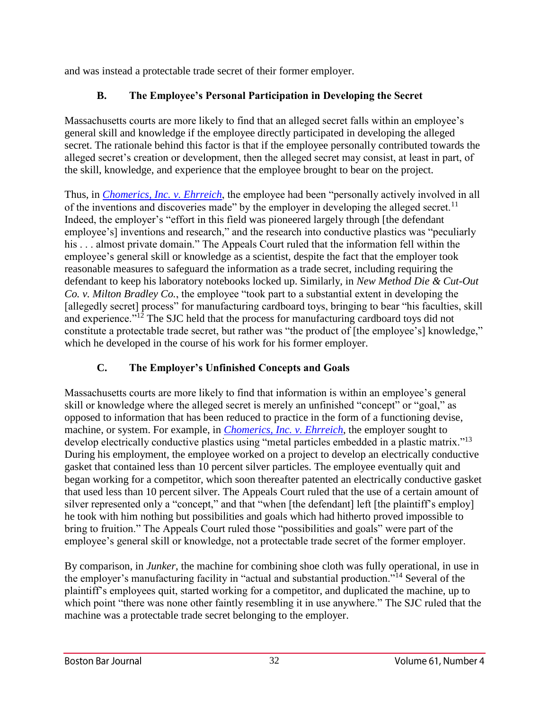and was instead a protectable trade secret of their former employer.

# **B. The Employee's Personal Participation in Developing the Secret**

Massachusetts courts are more likely to find that an alleged secret falls within an employee's general skill and knowledge if the employee directly participated in developing the alleged secret. The rationale behind this factor is that if the employee personally contributed towards the alleged secret's creation or development, then the alleged secret may consist, at least in part, of the skill, knowledge, and experience that the employee brought to bear on the project.

Thus, in *[Chomerics, Inc. v. Ehrreich](http://masscases.com/cases/app/12/12massappct1.html)*, the employee had been "personally actively involved in all of the inventions and discoveries made" by the employer in developing the alleged secret.<sup>11</sup> Indeed, the employer's "effort in this field was pioneered largely through [the defendant employee's] inventions and research," and the research into conductive plastics was "peculiarly his . . . almost private domain." The Appeals Court ruled that the information fell within the employee's general skill or knowledge as a scientist, despite the fact that the employer took reasonable measures to safeguard the information as a trade secret, including requiring the defendant to keep his laboratory notebooks locked up. Similarly, in *New Method Die & Cut-Out Co. v. Milton Bradley Co.*, the employee "took part to a substantial extent in developing the [allegedly secret] process" for manufacturing cardboard toys, bringing to bear "his faculties, skill and experience."<sup>12</sup> The SJC held that the process for manufacturing cardboard toys did not constitute a protectable trade secret, but rather was "the product of [the employee's] knowledge," which he developed in the course of his work for his former employer.

# **C. The Employer's Unfinished Concepts and Goals**

Massachusetts courts are more likely to find that information is within an employee's general skill or knowledge where the alleged secret is merely an unfinished "concept" or "goal," as opposed to information that has been reduced to practice in the form of a functioning devise, machine, or system. For example, in *[Chomerics, Inc. v. Ehrreich](http://masscases.com/cases/app/12/12massappct1.html)*, the employer sought to develop electrically conductive plastics using "metal particles embedded in a plastic matrix."<sup>13</sup> During his employment, the employee worked on a project to develop an electrically conductive gasket that contained less than 10 percent silver particles. The employee eventually quit and began working for a competitor, which soon thereafter patented an electrically conductive gasket that used less than 10 percent silver. The Appeals Court ruled that the use of a certain amount of silver represented only a "concept," and that "when [the defendant] left [the plaintiff's employ] he took with him nothing but possibilities and goals which had hitherto proved impossible to bring to fruition." The Appeals Court ruled those "possibilities and goals" were part of the employee's general skill or knowledge, not a protectable trade secret of the former employer.

By comparison, in *Junker*, the machine for combining shoe cloth was fully operational, in use in the employer's manufacturing facility in "actual and substantial production."<sup>14</sup> Several of the plaintiff's employees quit, started working for a competitor, and duplicated the machine, up to which point "there was none other faintly resembling it in use anywhere." The SJC ruled that the machine was a protectable trade secret belonging to the employer.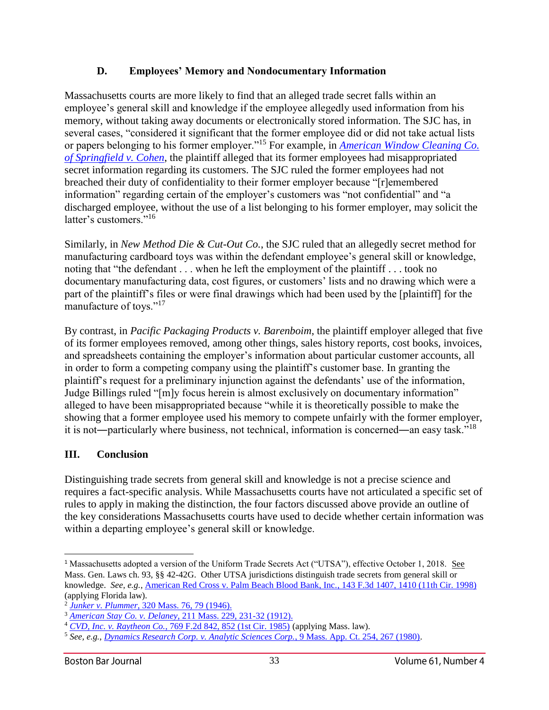# **D. Employees' Memory and Nondocumentary Information**

Massachusetts courts are more likely to find that an alleged trade secret falls within an employee's general skill and knowledge if the employee allegedly used information from his memory, without taking away documents or electronically stored information. The SJC has, in several cases, "considered it significant that the former employee did or did not take actual lists or papers belonging to his former employer."<sup>15</sup> For example, in *[American Window Cleaning Co.](http://masscases.com/cases/sjc/343/343mass195.html)  [of Springfield v. Cohen](http://masscases.com/cases/sjc/343/343mass195.html)*, the plaintiff alleged that its former employees had misappropriated secret information regarding its customers. The SJC ruled the former employees had not breached their duty of confidentiality to their former employer because "[r]emembered information" regarding certain of the employer's customers was "not confidential" and "a discharged employee, without the use of a list belonging to his former employer, may solicit the latter's customers."<sup>16</sup>

Similarly, in *New Method Die & Cut-Out Co.*, the SJC ruled that an allegedly secret method for manufacturing cardboard toys was within the defendant employee's general skill or knowledge, noting that "the defendant . . . when he left the employment of the plaintiff . . . took no documentary manufacturing data, cost figures, or customers' lists and no drawing which were a part of the plaintiff's files or were final drawings which had been used by the [plaintiff] for the manufacture of toys."<sup>17</sup>

By contrast, in *Pacific Packaging Products v. Barenboim*, the plaintiff employer alleged that five of its former employees removed, among other things, sales history reports, cost books, invoices, and spreadsheets containing the employer's information about particular customer accounts, all in order to form a competing company using the plaintiff's customer base. In granting the plaintiff's request for a preliminary injunction against the defendants' use of the information, Judge Billings ruled "[m]y focus herein is almost exclusively on documentary information" alleged to have been misappropriated because "while it is theoretically possible to make the showing that a former employee used his memory to compete unfairly with the former employer, it is not―particularly where business, not technical, information is concerned―an easy task."<sup>18</sup>

# **III. Conclusion**

Distinguishing trade secrets from general skill and knowledge is not a precise science and requires a fact-specific analysis. While Massachusetts courts have not articulated a specific set of rules to apply in making the distinction, the four factors discussed above provide an outline of the key considerations Massachusetts courts have used to decide whether certain information was within a departing employee's general skill or knowledge.

<sup>1</sup> Massachusetts adopted a version of the Uniform Trade Secrets Act ("UTSA"), effective October 1, 2018. See Mass. Gen. Laws ch. 93, §§ 42-42G. Other UTSA jurisdictions distinguish trade secrets from general skill or knowledge. *See, e.g.*, American Red Cross v. Palm Beach Blood Bank, Inc., 143 F.3d 1407, 1410 (11th Cir. 1998) (applying Florida law). l

<sup>2</sup> *Junker v. Plummer*[, 320 Mass. 76, 79 \(1946\).](http://masscases.com/cases/sjc/320/320mass76.html)

<sup>3</sup> *American Stay Co. v. Delaney*[, 211 Mass. 229, 231-32 \(1912\).](http://masscases.com/cases/sjc/211/211mass229.html)

<sup>4</sup> *CVD, Inc. v. Raytheon Co.*[, 769 F.2d 842, 852 \(1st Cir. 1985\)](https://openjurist.org/769/f2d/842/cvd-incorporated-v-raytheon-company) (applying Mass. law).

<sup>5</sup> *See, e.g.*, *[Dynamics Research Corp. v. Analytic Sciences Corp.](http://masscases.com/cases/app/9/9massappct254.html)*, 9 Mass. App. Ct. 254, 267 (1980).